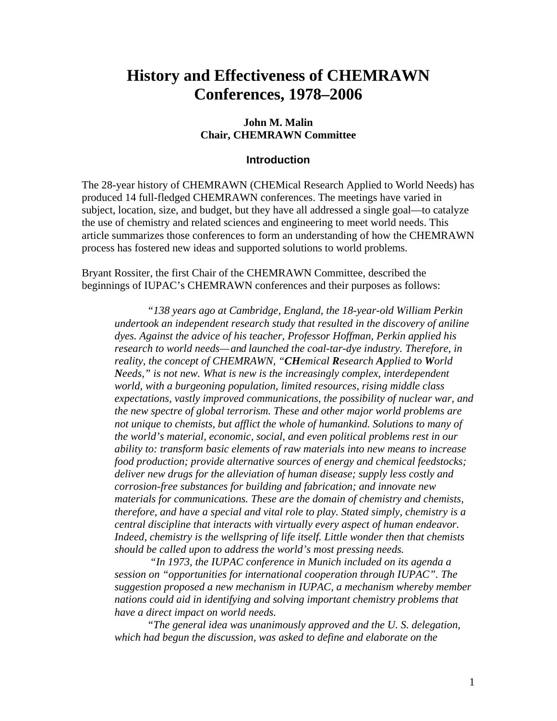# **History and Effectiveness of CHEMRAWN Conferences, 1978–2006**

#### **John M. Malin Chair, CHEMRAWN Committee**

#### **Introduction**

The 28-year history of CHEMRAWN (CHEMical Research Applied to World Needs) has produced 14 full-fledged CHEMRAWN conferences. The meetings have varied in subject, location, size, and budget, but they have all addressed a single goal—to catalyze the use of chemistry and related sciences and engineering to meet world needs. This article summarizes those conferences to form an understanding of how the CHEMRAWN process has fostered new ideas and supported solutions to world problems.

Bryant Rossiter, the first Chair of the CHEMRAWN Committee, described the beginnings of IUPAC's CHEMRAWN conferences and their purposes as follows:

*"138 years ago at Cambridge, England, the 18-year-old William Perkin undertook an independent research study that resulted in the discovery of aniline dyes. Against the advice of his teacher, Professor Hoffman, Perkin applied his research to world needs—and launched the coal-tar-dye industry. Therefore, in reality, the concept of CHEMRAWN, "CHemical Research Applied to World Needs," is not new. What is new is the increasingly complex, interdependent world, with a burgeoning population, limited resources, rising middle class expectations, vastly improved communications, the possibility of nuclear war, and the new spectre of global terrorism. These and other major world problems are not unique to chemists, but afflict the whole of humankind. Solutions to many of the world's material, economic, social, and even political problems rest in our ability to: transform basic elements of raw materials into new means to increase food production; provide alternative sources of energy and chemical feedstocks; deliver new drugs for the alleviation of human disease; supply less costly and corrosion-free substances for building and fabrication; and innovate new materials for communications. These are the domain of chemistry and chemists, therefore, and have a special and vital role to play. Stated simply, chemistry is a central discipline that interacts with virtually every aspect of human endeavor. Indeed, chemistry is the wellspring of life itself. Little wonder then that chemists should be called upon to address the world's most pressing needs.*

 *"In 1973, the IUPAC conference in Munich included on its agenda a session on "opportunities for international cooperation through IUPAC". The suggestion proposed a new mechanism in IUPAC, a mechanism whereby member nations could aid in identifying and solving important chemistry problems that have a direct impact on world needs.*

*"The general idea was unanimously approved and the U. S. delegation, which had begun the discussion, was asked to define and elaborate on the*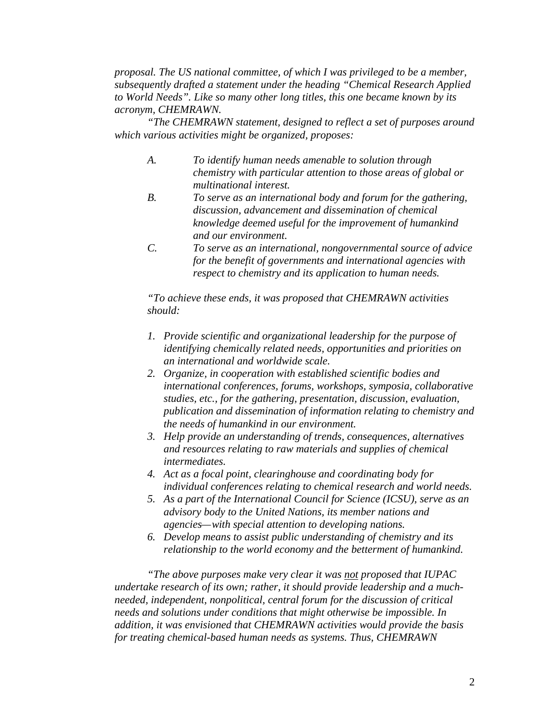*proposal. The US national committee, of which I was privileged to be a member, subsequently drafted a statement under the heading "Chemical Research Applied to World Needs". Like so many other long titles, this one became known by its acronym, CHEMRAWN.*

*"The CHEMRAWN statement, designed to reflect a set of purposes around which various activities might be organized, proposes:*

- *A. To identify human needs amenable to solution through chemistry with particular attention to those areas of global or multinational interest.*
- *B. To serve as an international body and forum for the gathering, discussion, advancement and dissemination of chemical knowledge deemed useful for the improvement of humankind and our environment.*
- *C. To serve as an international, nongovernmental source of advice for the benefit of governments and international agencies with respect to chemistry and its application to human needs.*

*"To achieve these ends, it was proposed that CHEMRAWN activities should:*

- *1. Provide scientific and organizational leadership for the purpose of identifying chemically related needs, opportunities and priorities on an international and worldwide scale.*
- *2. Organize, in cooperation with established scientific bodies and international conferences, forums, workshops, symposia, collaborative studies, etc., for the gathering, presentation, discussion, evaluation, publication and dissemination of information relating to chemistry and the needs of humankind in our environment.*
- *3. Help provide an understanding of trends, consequences, alternatives and resources relating to raw materials and supplies of chemical intermediates.*
- *4. Act as a focal point, clearinghouse and coordinating body for individual conferences relating to chemical research and world needs.*
- *5. As a part of the International Council for Science (ICSU), serve as an advisory body to the United Nations, its member nations and agencies—with special attention to developing nations.*
- *6. Develop means to assist public understanding of chemistry and its relationship to the world economy and the betterment of humankind.*

*"The above purposes make very clear it was not proposed that IUPAC undertake research of its own; rather, it should provide leadership and a muchneeded, independent, nonpolitical, central forum for the discussion of critical needs and solutions under conditions that might otherwise be impossible. In addition, it was envisioned that CHEMRAWN activities would provide the basis for treating chemical-based human needs as systems. Thus, CHEMRAWN*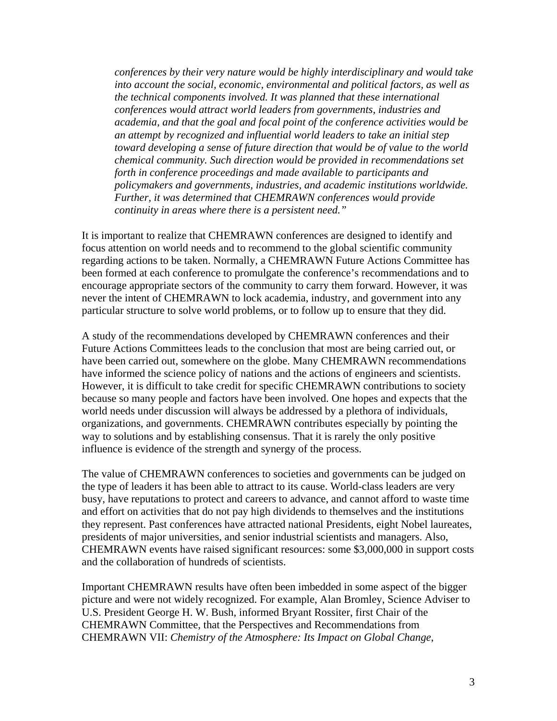*conferences by their very nature would be highly interdisciplinary and would take into account the social, economic, environmental and political factors, as well as the technical components involved. It was planned that these international conferences would attract world leaders from governments, industries and academia, and that the goal and focal point of the conference activities would be an attempt by recognized and influential world leaders to take an initial step toward developing a sense of future direction that would be of value to the world chemical community. Such direction would be provided in recommendations set forth in conference proceedings and made available to participants and policymakers and governments, industries, and academic institutions worldwide. Further, it was determined that CHEMRAWN conferences would provide continuity in areas where there is a persistent need."*

It is important to realize that CHEMRAWN conferences are designed to identify and focus attention on world needs and to recommend to the global scientific community regarding actions to be taken. Normally, a CHEMRAWN Future Actions Committee has been formed at each conference to promulgate the conference's recommendations and to encourage appropriate sectors of the community to carry them forward. However, it was never the intent of CHEMRAWN to lock academia, industry, and government into any particular structure to solve world problems, or to follow up to ensure that they did.

A study of the recommendations developed by CHEMRAWN conferences and their Future Actions Committees leads to the conclusion that most are being carried out, or have been carried out, somewhere on the globe. Many CHEMRAWN recommendations have informed the science policy of nations and the actions of engineers and scientists. However, it is difficult to take credit for specific CHEMRAWN contributions to society because so many people and factors have been involved. One hopes and expects that the world needs under discussion will always be addressed by a plethora of individuals, organizations, and governments. CHEMRAWN contributes especially by pointing the way to solutions and by establishing consensus. That it is rarely the only positive influence is evidence of the strength and synergy of the process.

The value of CHEMRAWN conferences to societies and governments can be judged on the type of leaders it has been able to attract to its cause. World-class leaders are very busy, have reputations to protect and careers to advance, and cannot afford to waste time and effort on activities that do not pay high dividends to themselves and the institutions they represent. Past conferences have attracted national Presidents, eight Nobel laureates, presidents of major universities, and senior industrial scientists and managers. Also, CHEMRAWN events have raised significant resources: some \$3,000,000 in support costs and the collaboration of hundreds of scientists.

Important CHEMRAWN results have often been imbedded in some aspect of the bigger picture and were not widely recognized. For example, Alan Bromley, Science Adviser to U.S. President George H. W. Bush, informed Bryant Rossiter, first Chair of the CHEMRAWN Committee, that the Perspectives and Recommendations from CHEMRAWN VII: *Chemistry of the Atmosphere: Its Impact on Global Change*,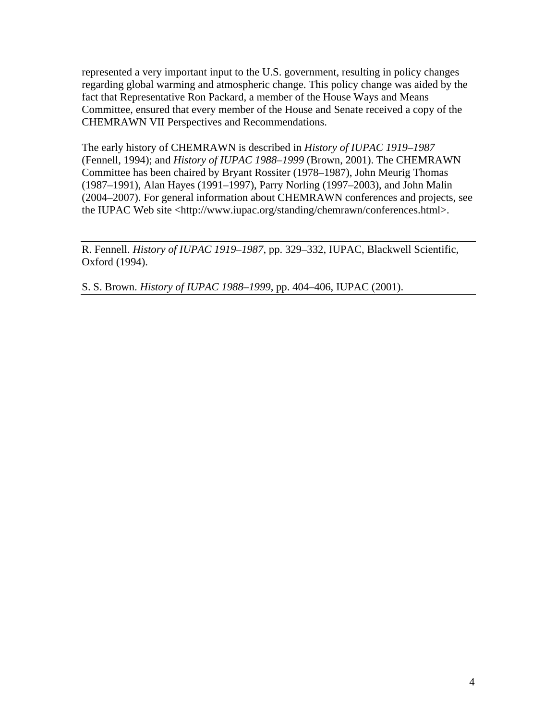represented a very important input to the U.S. government, resulting in policy changes regarding global warming and atmospheric change. This policy change was aided by the fact that Representative Ron Packard, a member of the House Ways and Means Committee, ensured that every member of the House and Senate received a copy of the CHEMRAWN VII Perspectives and Recommendations.

The early history of CHEMRAWN is described in *History of IUPAC 1919–1987* (Fennell, 1994); and *History of IUPAC 1988–1999* (Brown, 2001). The CHEMRAWN Committee has been chaired by Bryant Rossiter (1978–1987), John Meurig Thomas (1987–1991), Alan Hayes (1991–1997), Parry Norling (1997–2003), and John Malin (2004–2007). For general information about CHEMRAWN conferences and projects, see the IUPAC Web site <http://www.iupac.org/standing/chemrawn/conferences.html>.

R. Fennell. *History of IUPAC 1919–1987*, pp. 329–332, IUPAC, Blackwell Scientific, Oxford (1994).

S. S. Brown. *History of IUPAC 1988–1999*, pp. 404–406, IUPAC (2001).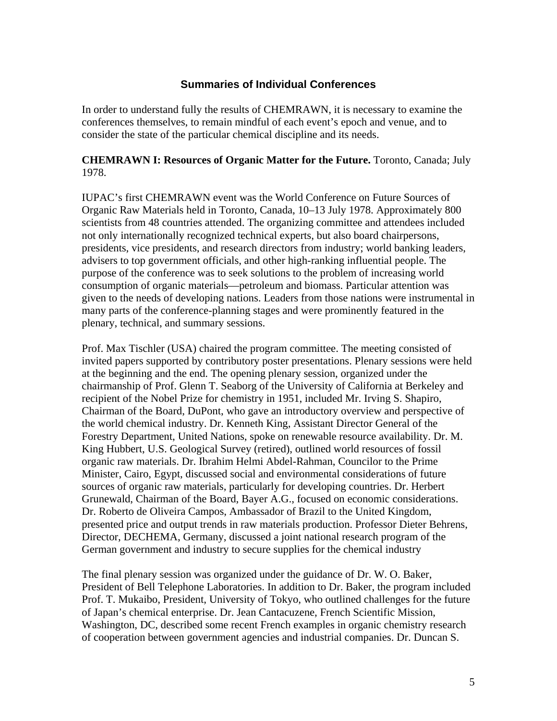## **Summaries of Individual Conferences**

In order to understand fully the results of CHEMRAWN, it is necessary to examine the conferences themselves, to remain mindful of each event's epoch and venue, and to consider the state of the particular chemical discipline and its needs.

#### **CHEMRAWN I: Resources of Organic Matter for the Future.** Toronto, Canada; July 1978.

IUPAC's first CHEMRAWN event was the World Conference on Future Sources of Organic Raw Materials held in Toronto, Canada, 10–13 July 1978. Approximately 800 scientists from 48 countries attended. The organizing committee and attendees included not only internationally recognized technical experts, but also board chairpersons, presidents, vice presidents, and research directors from industry; world banking leaders, advisers to top government officials, and other high-ranking influential people. The purpose of the conference was to seek solutions to the problem of increasing world consumption of organic materials—petroleum and biomass. Particular attention was given to the needs of developing nations. Leaders from those nations were instrumental in many parts of the conference-planning stages and were prominently featured in the plenary, technical, and summary sessions.

Prof. Max Tischler (USA) chaired the program committee. The meeting consisted of invited papers supported by contributory poster presentations. Plenary sessions were held at the beginning and the end. The opening plenary session, organized under the chairmanship of Prof. Glenn T. Seaborg of the University of California at Berkeley and recipient of the Nobel Prize for chemistry in 1951, included Mr. Irving S. Shapiro, Chairman of the Board, DuPont, who gave an introductory overview and perspective of the world chemical industry. Dr. Kenneth King, Assistant Director General of the Forestry Department, United Nations, spoke on renewable resource availability. Dr. M. King Hubbert, U.S. Geological Survey (retired), outlined world resources of fossil organic raw materials. Dr. Ibrahim Helmi Abdel-Rahman, Councilor to the Prime Minister, Cairo, Egypt, discussed social and environmental considerations of future sources of organic raw materials, particularly for developing countries. Dr. Herbert Grunewald, Chairman of the Board, Bayer A.G., focused on economic considerations. Dr. Roberto de Oliveira Campos, Ambassador of Brazil to the United Kingdom, presented price and output trends in raw materials production. Professor Dieter Behrens, Director, DECHEMA, Germany, discussed a joint national research program of the German government and industry to secure supplies for the chemical industry

The final plenary session was organized under the guidance of Dr. W. O. Baker, President of Bell Telephone Laboratories. In addition to Dr. Baker, the program included Prof. T. Mukaibo, President, University of Tokyo, who outlined challenges for the future of Japan's chemical enterprise. Dr. Jean Cantacuzene, French Scientific Mission, Washington, DC, described some recent French examples in organic chemistry research of cooperation between government agencies and industrial companies. Dr. Duncan S.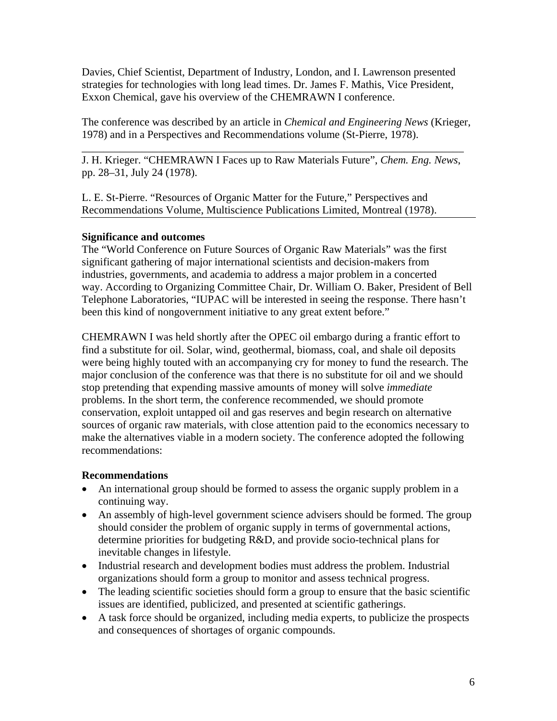Davies, Chief Scientist, Department of Industry, London, and I. Lawrenson presented strategies for technologies with long lead times. Dr. James F. Mathis, Vice President, Exxon Chemical, gave his overview of the CHEMRAWN I conference.

The conference was described by an article in *Chemical and Engineering News* (Krieger, 1978) and in a Perspectives and Recommendations volume (St-Pierre, 1978).

J. H. Krieger. "CHEMRAWN I Faces up to Raw Materials Future", *Chem. Eng. News*, pp. 28–31, July 24 (1978).

\_\_\_\_\_\_\_\_\_\_\_\_\_\_\_\_\_\_\_\_\_\_\_\_\_\_\_\_\_\_\_\_\_\_\_\_\_\_\_\_\_\_\_\_\_\_\_\_\_\_\_\_\_\_\_\_\_\_\_\_\_\_\_\_\_\_\_\_\_\_

L. E. St-Pierre. "Resources of Organic Matter for the Future," Perspectives and Recommendations Volume, Multiscience Publications Limited, Montreal (1978).

## **Significance and outcomes**

The "World Conference on Future Sources of Organic Raw Materials" was the first significant gathering of major international scientists and decision-makers from industries, governments, and academia to address a major problem in a concerted way. According to Organizing Committee Chair, Dr. William O. Baker, President of Bell Telephone Laboratories, "IUPAC will be interested in seeing the response. There hasn't been this kind of nongovernment initiative to any great extent before."

CHEMRAWN I was held shortly after the OPEC oil embargo during a frantic effort to find a substitute for oil. Solar, wind, geothermal, biomass, coal, and shale oil deposits were being highly touted with an accompanying cry for money to fund the research. The major conclusion of the conference was that there is no substitute for oil and we should stop pretending that expending massive amounts of money will solve *immediate* problems. In the short term, the conference recommended, we should promote conservation, exploit untapped oil and gas reserves and begin research on alternative sources of organic raw materials, with close attention paid to the economics necessary to make the alternatives viable in a modern society. The conference adopted the following recommendations:

## **Recommendations**

- An international group should be formed to assess the organic supply problem in a continuing way.
- An assembly of high-level government science advisers should be formed. The group should consider the problem of organic supply in terms of governmental actions, determine priorities for budgeting R&D, and provide socio-technical plans for inevitable changes in lifestyle.
- Industrial research and development bodies must address the problem. Industrial organizations should form a group to monitor and assess technical progress.
- The leading scientific societies should form a group to ensure that the basic scientific issues are identified, publicized, and presented at scientific gatherings.
- A task force should be organized, including media experts, to publicize the prospects and consequences of shortages of organic compounds.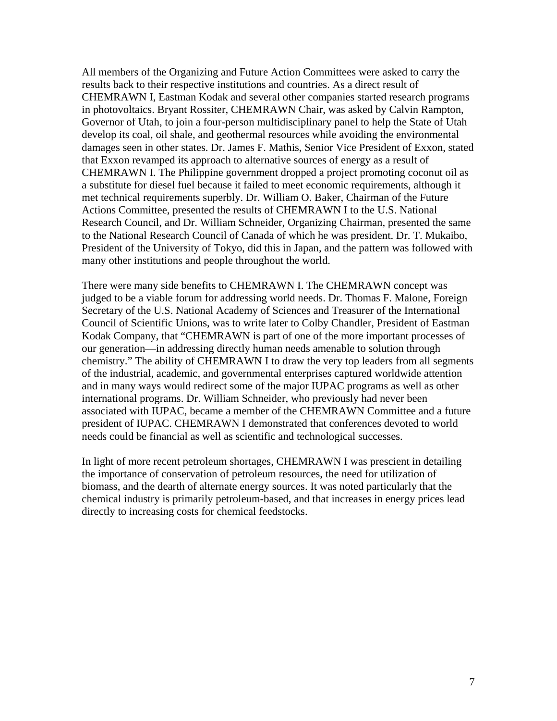All members of the Organizing and Future Action Committees were asked to carry the results back to their respective institutions and countries. As a direct result of CHEMRAWN I, Eastman Kodak and several other companies started research programs in photovoltaics. Bryant Rossiter, CHEMRAWN Chair, was asked by Calvin Rampton, Governor of Utah, to join a four-person multidisciplinary panel to help the State of Utah develop its coal, oil shale, and geothermal resources while avoiding the environmental damages seen in other states. Dr. James F. Mathis, Senior Vice President of Exxon, stated that Exxon revamped its approach to alternative sources of energy as a result of CHEMRAWN I. The Philippine government dropped a project promoting coconut oil as a substitute for diesel fuel because it failed to meet economic requirements, although it met technical requirements superbly. Dr. William O. Baker, Chairman of the Future Actions Committee, presented the results of CHEMRAWN I to the U.S. National Research Council, and Dr. William Schneider, Organizing Chairman, presented the same to the National Research Council of Canada of which he was president. Dr. T. Mukaibo, President of the University of Tokyo, did this in Japan, and the pattern was followed with many other institutions and people throughout the world.

There were many side benefits to CHEMRAWN I. The CHEMRAWN concept was judged to be a viable forum for addressing world needs. Dr. Thomas F. Malone, Foreign Secretary of the U.S. National Academy of Sciences and Treasurer of the International Council of Scientific Unions, was to write later to Colby Chandler, President of Eastman Kodak Company, that "CHEMRAWN is part of one of the more important processes of our generation—in addressing directly human needs amenable to solution through chemistry." The ability of CHEMRAWN I to draw the very top leaders from all segments of the industrial, academic, and governmental enterprises captured worldwide attention and in many ways would redirect some of the major IUPAC programs as well as other international programs. Dr. William Schneider, who previously had never been associated with IUPAC, became a member of the CHEMRAWN Committee and a future president of IUPAC. CHEMRAWN I demonstrated that conferences devoted to world needs could be financial as well as scientific and technological successes.

In light of more recent petroleum shortages, CHEMRAWN I was prescient in detailing the importance of conservation of petroleum resources, the need for utilization of biomass, and the dearth of alternate energy sources. It was noted particularly that the chemical industry is primarily petroleum-based, and that increases in energy prices lead directly to increasing costs for chemical feedstocks.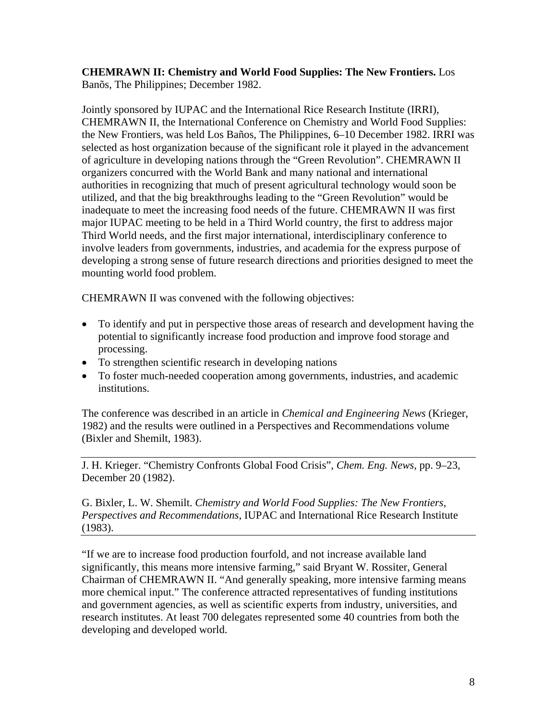**CHEMRAWN II: Chemistry and World Food Supplies: The New Frontiers.** Los Banõs, The Philippines; December 1982.

Jointly sponsored by IUPAC and the International Rice Research Institute (IRRI), CHEMRAWN II, the International Conference on Chemistry and World Food Supplies: the New Frontiers, was held Los Baños, The Philippines, 6–10 December 1982. IRRI was selected as host organization because of the significant role it played in the advancement of agriculture in developing nations through the "Green Revolution". CHEMRAWN II organizers concurred with the World Bank and many national and international authorities in recognizing that much of present agricultural technology would soon be utilized, and that the big breakthroughs leading to the "Green Revolution" would be inadequate to meet the increasing food needs of the future. CHEMRAWN II was first major IUPAC meeting to be held in a Third World country, the first to address major Third World needs, and the first major international, interdisciplinary conference to involve leaders from governments, industries, and academia for the express purpose of developing a strong sense of future research directions and priorities designed to meet the mounting world food problem.

CHEMRAWN II was convened with the following objectives:

- To identify and put in perspective those areas of research and development having the potential to significantly increase food production and improve food storage and processing.
- To strengthen scientific research in developing nations
- To foster much-needed cooperation among governments, industries, and academic institutions.

The conference was described in an article in *Chemical and Engineering News* (Krieger, 1982) and the results were outlined in a Perspectives and Recommendations volume (Bixler and Shemilt, 1983).

J. H. Krieger. "Chemistry Confronts Global Food Crisis", *Chem. Eng. News*, pp. 9–23, December 20 (1982).

G. Bixler, L. W. Shemilt. *Chemistry and World Food Supplies: The New Frontiers, Perspectives and Recommendations*, IUPAC and International Rice Research Institute (1983).

"If we are to increase food production fourfold, and not increase available land significantly, this means more intensive farming," said Bryant W. Rossiter, General Chairman of CHEMRAWN II. "And generally speaking, more intensive farming means more chemical input." The conference attracted representatives of funding institutions and government agencies, as well as scientific experts from industry, universities, and research institutes. At least 700 delegates represented some 40 countries from both the developing and developed world.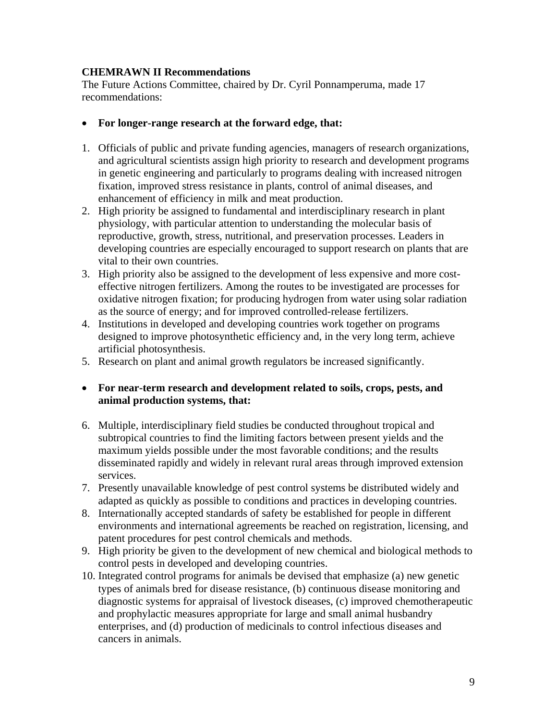## **CHEMRAWN II Recommendations**

The Future Actions Committee, chaired by Dr. Cyril Ponnamperuma, made 17 recommendations:

#### • **For longer-range research at the forward edge, that:**

- 1. Officials of public and private funding agencies, managers of research organizations, and agricultural scientists assign high priority to research and development programs in genetic engineering and particularly to programs dealing with increased nitrogen fixation, improved stress resistance in plants, control of animal diseases, and enhancement of efficiency in milk and meat production.
- 2. High priority be assigned to fundamental and interdisciplinary research in plant physiology, with particular attention to understanding the molecular basis of reproductive, growth, stress, nutritional, and preservation processes. Leaders in developing countries are especially encouraged to support research on plants that are vital to their own countries.
- 3. High priority also be assigned to the development of less expensive and more costeffective nitrogen fertilizers. Among the routes to be investigated are processes for oxidative nitrogen fixation; for producing hydrogen from water using solar radiation as the source of energy; and for improved controlled-release fertilizers.
- 4. Institutions in developed and developing countries work together on programs designed to improve photosynthetic efficiency and, in the very long term, achieve artificial photosynthesis.
- 5. Research on plant and animal growth regulators be increased significantly.

## • **For near-term research and development related to soils, crops, pests, and animal production systems, that:**

- 6. Multiple, interdisciplinary field studies be conducted throughout tropical and subtropical countries to find the limiting factors between present yields and the maximum yields possible under the most favorable conditions; and the results disseminated rapidly and widely in relevant rural areas through improved extension services.
- 7. Presently unavailable knowledge of pest control systems be distributed widely and adapted as quickly as possible to conditions and practices in developing countries.
- 8. Internationally accepted standards of safety be established for people in different environments and international agreements be reached on registration, licensing, and patent procedures for pest control chemicals and methods.
- 9. High priority be given to the development of new chemical and biological methods to control pests in developed and developing countries.
- 10. Integrated control programs for animals be devised that emphasize (a) new genetic types of animals bred for disease resistance, (b) continuous disease monitoring and diagnostic systems for appraisal of livestock diseases, (c) improved chemotherapeutic and prophylactic measures appropriate for large and small animal husbandry enterprises, and (d) production of medicinals to control infectious diseases and cancers in animals.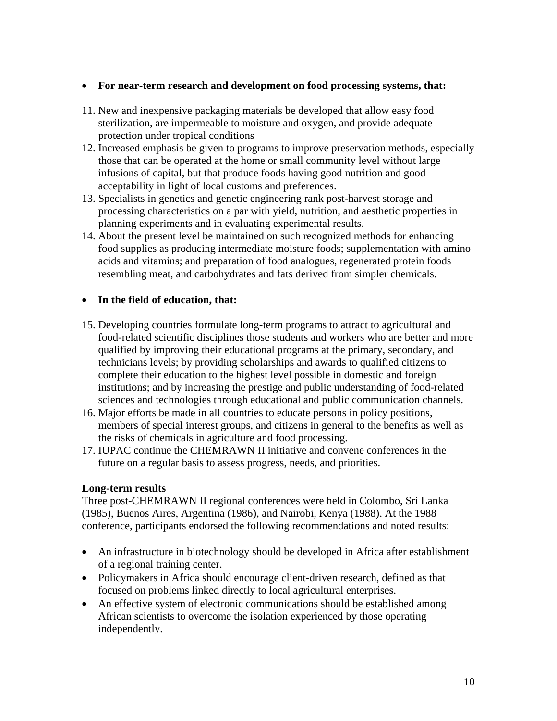#### • **For near-term research and development on food processing systems, that:**

- 11. New and inexpensive packaging materials be developed that allow easy food sterilization, are impermeable to moisture and oxygen, and provide adequate protection under tropical conditions
- 12. Increased emphasis be given to programs to improve preservation methods, especially those that can be operated at the home or small community level without large infusions of capital, but that produce foods having good nutrition and good acceptability in light of local customs and preferences.
- 13. Specialists in genetics and genetic engineering rank post-harvest storage and processing characteristics on a par with yield, nutrition, and aesthetic properties in planning experiments and in evaluating experimental results.
- 14. About the present level be maintained on such recognized methods for enhancing food supplies as producing intermediate moisture foods; supplementation with amino acids and vitamins; and preparation of food analogues, regenerated protein foods resembling meat, and carbohydrates and fats derived from simpler chemicals.

## • **In the field of education, that:**

- 15. Developing countries formulate long-term programs to attract to agricultural and food-related scientific disciplines those students and workers who are better and more qualified by improving their educational programs at the primary, secondary, and technicians levels; by providing scholarships and awards to qualified citizens to complete their education to the highest level possible in domestic and foreign institutions; and by increasing the prestige and public understanding of food-related sciences and technologies through educational and public communication channels.
- 16. Major efforts be made in all countries to educate persons in policy positions, members of special interest groups, and citizens in general to the benefits as well as the risks of chemicals in agriculture and food processing.
- 17. IUPAC continue the CHEMRAWN II initiative and convene conferences in the future on a regular basis to assess progress, needs, and priorities.

#### **Long-term results**

Three post-CHEMRAWN II regional conferences were held in Colombo, Sri Lanka (1985), Buenos Aires, Argentina (1986), and Nairobi, Kenya (1988). At the 1988 conference, participants endorsed the following recommendations and noted results:

- An infrastructure in biotechnology should be developed in Africa after establishment of a regional training center.
- Policymakers in Africa should encourage client-driven research, defined as that focused on problems linked directly to local agricultural enterprises.
- An effective system of electronic communications should be established among African scientists to overcome the isolation experienced by those operating independently.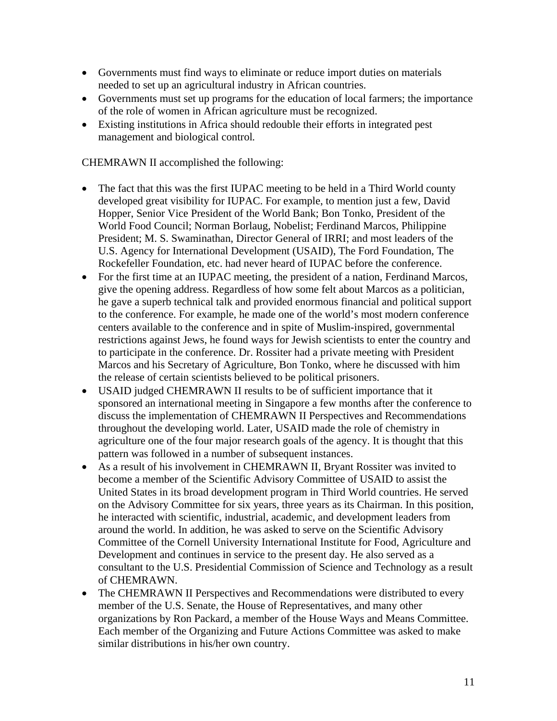- Governments must find ways to eliminate or reduce import duties on materials needed to set up an agricultural industry in African countries.
- Governments must set up programs for the education of local farmers; the importance of the role of women in African agriculture must be recognized.
- Existing institutions in Africa should redouble their efforts in integrated pest management and biological control*.*

CHEMRAWN II accomplished the following:

- The fact that this was the first IUPAC meeting to be held in a Third World county developed great visibility for IUPAC. For example, to mention just a few, David Hopper, Senior Vice President of the World Bank; Bon Tonko, President of the World Food Council; Norman Borlaug, Nobelist; Ferdinand Marcos, Philippine President; M. S. Swaminathan, Director General of IRRI; and most leaders of the U.S. Agency for International Development (USAID), The Ford Foundation, The Rockefeller Foundation, etc. had never heard of IUPAC before the conference.
- For the first time at an IUPAC meeting, the president of a nation, Ferdinand Marcos, give the opening address. Regardless of how some felt about Marcos as a politician, he gave a superb technical talk and provided enormous financial and political support to the conference. For example, he made one of the world's most modern conference centers available to the conference and in spite of Muslim-inspired, governmental restrictions against Jews, he found ways for Jewish scientists to enter the country and to participate in the conference. Dr. Rossiter had a private meeting with President Marcos and his Secretary of Agriculture, Bon Tonko, where he discussed with him the release of certain scientists believed to be political prisoners.
- USAID judged CHEMRAWN II results to be of sufficient importance that it sponsored an international meeting in Singapore a few months after the conference to discuss the implementation of CHEMRAWN II Perspectives and Recommendations throughout the developing world. Later, USAID made the role of chemistry in agriculture one of the four major research goals of the agency. It is thought that this pattern was followed in a number of subsequent instances.
- As a result of his involvement in CHEMRAWN II, Bryant Rossiter was invited to become a member of the Scientific Advisory Committee of USAID to assist the United States in its broad development program in Third World countries. He served on the Advisory Committee for six years, three years as its Chairman. In this position, he interacted with scientific, industrial, academic, and development leaders from around the world. In addition, he was asked to serve on the Scientific Advisory Committee of the Cornell University International Institute for Food, Agriculture and Development and continues in service to the present day. He also served as a consultant to the U.S. Presidential Commission of Science and Technology as a result of CHEMRAWN.
- The CHEMRAWN II Perspectives and Recommendations were distributed to every member of the U.S. Senate, the House of Representatives, and many other organizations by Ron Packard, a member of the House Ways and Means Committee. Each member of the Organizing and Future Actions Committee was asked to make similar distributions in his/her own country.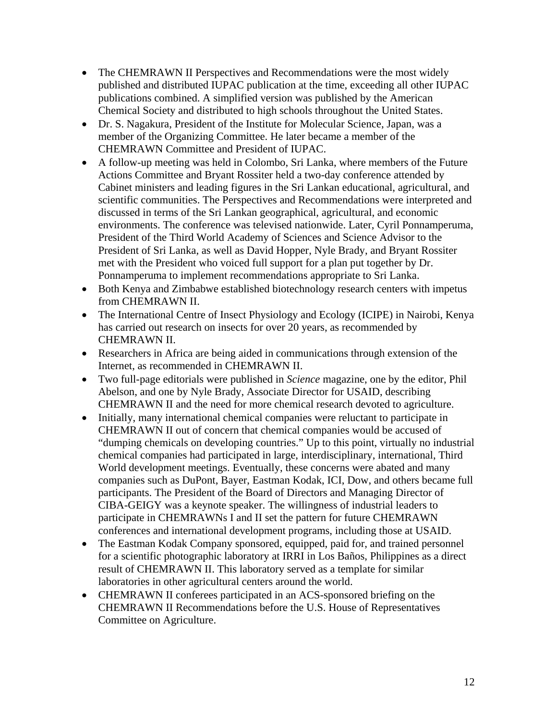- The CHEMRAWN II Perspectives and Recommendations were the most widely published and distributed IUPAC publication at the time, exceeding all other IUPAC publications combined. A simplified version was published by the American Chemical Society and distributed to high schools throughout the United States.
- Dr. S. Nagakura, President of the Institute for Molecular Science, Japan, was a member of the Organizing Committee. He later became a member of the CHEMRAWN Committee and President of IUPAC.
- A follow-up meeting was held in Colombo, Sri Lanka, where members of the Future Actions Committee and Bryant Rossiter held a two-day conference attended by Cabinet ministers and leading figures in the Sri Lankan educational, agricultural, and scientific communities. The Perspectives and Recommendations were interpreted and discussed in terms of the Sri Lankan geographical, agricultural, and economic environments. The conference was televised nationwide. Later, Cyril Ponnamperuma, President of the Third World Academy of Sciences and Science Advisor to the President of Sri Lanka, as well as David Hopper, Nyle Brady, and Bryant Rossiter met with the President who voiced full support for a plan put together by Dr. Ponnamperuma to implement recommendations appropriate to Sri Lanka.
- Both Kenya and Zimbabwe established biotechnology research centers with impetus from CHEMRAWN II.
- The International Centre of Insect Physiology and Ecology (ICIPE) in Nairobi, Kenya has carried out research on insects for over 20 years, as recommended by CHEMRAWN II.
- Researchers in Africa are being aided in communications through extension of the Internet, as recommended in CHEMRAWN II.
- Two full-page editorials were published in *Science* magazine, one by the editor, Phil Abelson, and one by Nyle Brady, Associate Director for USAID, describing CHEMRAWN II and the need for more chemical research devoted to agriculture.
- Initially, many international chemical companies were reluctant to participate in CHEMRAWN II out of concern that chemical companies would be accused of "dumping chemicals on developing countries." Up to this point, virtually no industrial chemical companies had participated in large, interdisciplinary, international, Third World development meetings. Eventually, these concerns were abated and many companies such as DuPont, Bayer, Eastman Kodak, ICI, Dow, and others became full participants. The President of the Board of Directors and Managing Director of CIBA-GEIGY was a keynote speaker. The willingness of industrial leaders to participate in CHEMRAWNs I and II set the pattern for future CHEMRAWN conferences and international development programs, including those at USAID.
- The Eastman Kodak Company sponsored, equipped, paid for, and trained personnel for a scientific photographic laboratory at IRRI in Los Baños, Philippines as a direct result of CHEMRAWN II. This laboratory served as a template for similar laboratories in other agricultural centers around the world.
- CHEMRAWN II conferees participated in an ACS-sponsored briefing on the CHEMRAWN II Recommendations before the U.S. House of Representatives Committee on Agriculture.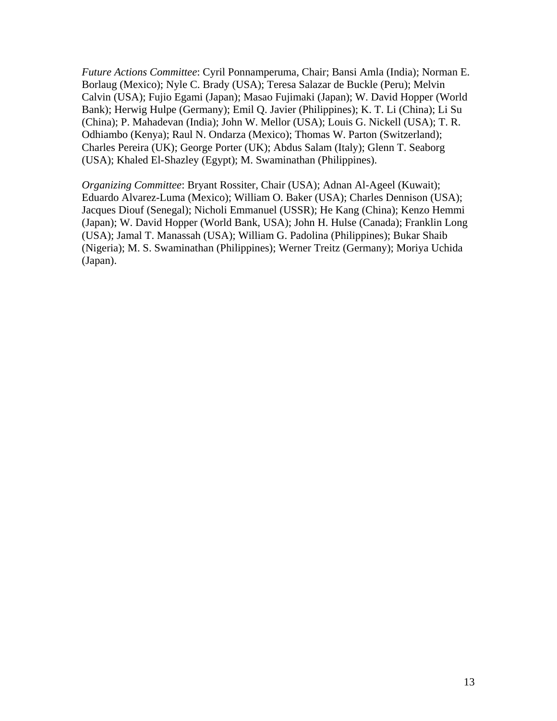*Future Actions Committee*: Cyril Ponnamperuma, Chair; Bansi Amla (India); Norman E. Borlaug (Mexico); Nyle C. Brady (USA); Teresa Salazar de Buckle (Peru); Melvin Calvin (USA); Fujio Egami (Japan); Masao Fujimaki (Japan); W. David Hopper (World Bank); Herwig Hulpe (Germany); Emil Q. Javier (Philippines); K. T. Li (China); Li Su (China); P. Mahadevan (India); John W. Mellor (USA); Louis G. Nickell (USA); T. R. Odhiambo (Kenya); Raul N. Ondarza (Mexico); Thomas W. Parton (Switzerland); Charles Pereira (UK); George Porter (UK); Abdus Salam (Italy); Glenn T. Seaborg (USA); Khaled El-Shazley (Egypt); M. Swaminathan (Philippines).

*Organizing Committee*: Bryant Rossiter, Chair (USA); Adnan Al-Ageel (Kuwait); Eduardo Alvarez-Luma (Mexico); William O. Baker (USA); Charles Dennison (USA); Jacques Diouf (Senegal); Nicholi Emmanuel (USSR); He Kang (China); Kenzo Hemmi (Japan); W. David Hopper (World Bank, USA); John H. Hulse (Canada); Franklin Long (USA); Jamal T. Manassah (USA); William G. Padolina (Philippines); Bukar Shaib (Nigeria); M. S. Swaminathan (Philippines); Werner Treitz (Germany); Moriya Uchida (Japan).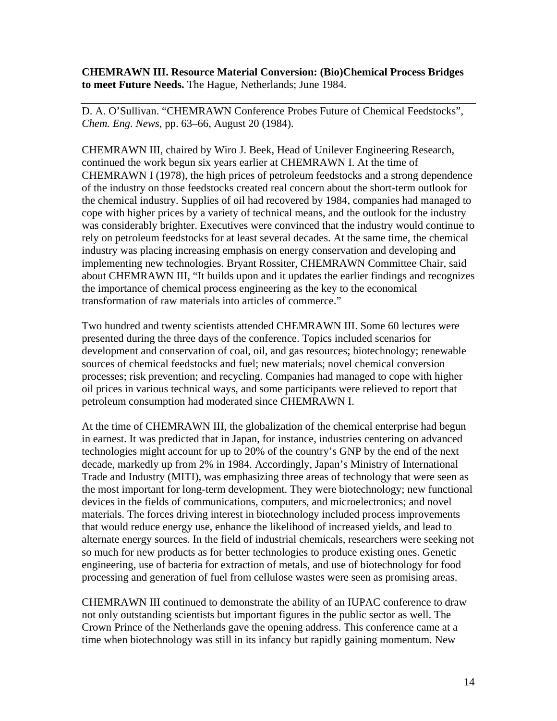**CHEMRAWN III. Resource Material Conversion: (Bio)Chemical Process Bridges to meet Future Needs.** The Hague, Netherlands; June 1984.

D. A. O'Sullivan. "CHEMRAWN Conference Probes Future of Chemical Feedstocks", *Chem. Eng. News*, pp. 63–66, August 20 (1984).

CHEMRAWN III, chaired by Wiro J. Beek, Head of Unilever Engineering Research, continued the work begun six years earlier at CHEMRAWN I. At the time of CHEMRAWN I (1978), the high prices of petroleum feedstocks and a strong dependence of the industry on those feedstocks created real concern about the short-term outlook for the chemical industry. Supplies of oil had recovered by 1984, companies had managed to cope with higher prices by a variety of technical means, and the outlook for the industry was considerably brighter. Executives were convinced that the industry would continue to rely on petroleum feedstocks for at least several decades. At the same time, the chemical industry was placing increasing emphasis on energy conservation and developing and implementing new technologies. Bryant Rossiter, CHEMRAWN Committee Chair, said about CHEMRAWN III, "It builds upon and it updates the earlier findings and recognizes the importance of chemical process engineering as the key to the economical transformation of raw materials into articles of commerce."

Two hundred and twenty scientists attended CHEMRAWN III. Some 60 lectures were presented during the three days of the conference. Topics included scenarios for development and conservation of coal, oil, and gas resources; biotechnology; renewable sources of chemical feedstocks and fuel; new materials; novel chemical conversion processes; risk prevention; and recycling. Companies had managed to cope with higher oil prices in various technical ways, and some participants were relieved to report that petroleum consumption had moderated since CHEMRAWN I.

At the time of CHEMRAWN III, the globalization of the chemical enterprise had begun in earnest. It was predicted that in Japan, for instance, industries centering on advanced technologies might account for up to 20% of the country's GNP by the end of the next decade, markedly up from 2% in 1984. Accordingly, Japan's Ministry of International Trade and Industry (MITI), was emphasizing three areas of technology that were seen as the most important for long-term development. They were biotechnology; new functional devices in the fields of communications, computers, and microelectronics; and novel materials. The forces driving interest in biotechnology included process improvements that would reduce energy use, enhance the likelihood of increased yields, and lead to alternate energy sources. In the field of industrial chemicals, researchers were seeking not so much for new products as for better technologies to produce existing ones. Genetic engineering, use of bacteria for extraction of metals, and use of biotechnology for food processing and generation of fuel from cellulose wastes were seen as promising areas.

CHEMRAWN III continued to demonstrate the ability of an IUPAC conference to draw not only outstanding scientists but important figures in the public sector as well. The Crown Prince of the Netherlands gave the opening address. This conference came at a time when biotechnology was still in its infancy but rapidly gaining momentum. New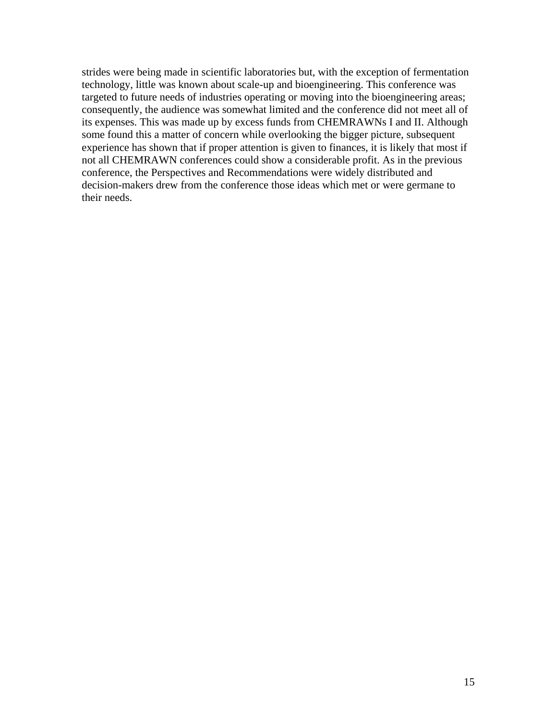strides were being made in scientific laboratories but, with the exception of fermentation technology, little was known about scale-up and bioengineering. This conference was targeted to future needs of industries operating or moving into the bioengineering areas; consequently, the audience was somewhat limited and the conference did not meet all of its expenses. This was made up by excess funds from CHEMRAWNs I and II. Although some found this a matter of concern while overlooking the bigger picture, subsequent experience has shown that if proper attention is given to finances, it is likely that most if not all CHEMRAWN conferences could show a considerable profit. As in the previous conference, the Perspectives and Recommendations were widely distributed and decision-makers drew from the conference those ideas which met or were germane to their needs.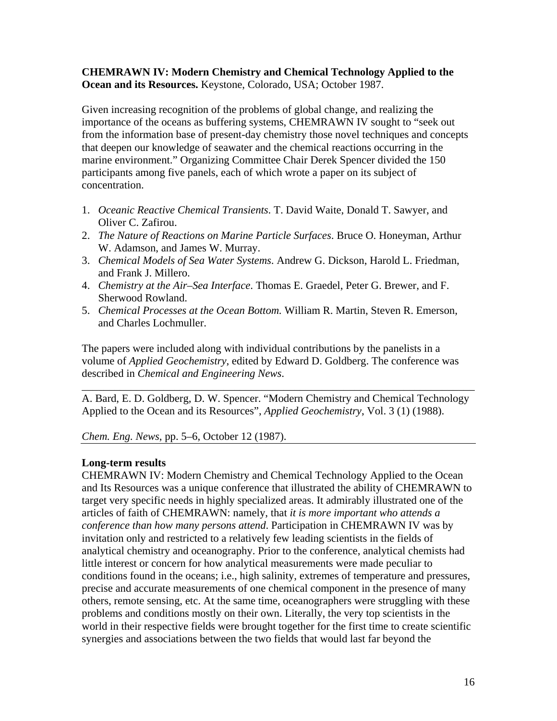## **CHEMRAWN IV: Modern Chemistry and Chemical Technology Applied to the Ocean and its Resources.** Keystone, Colorado, USA; October 1987.

Given increasing recognition of the problems of global change, and realizing the importance of the oceans as buffering systems, CHEMRAWN IV sought to "seek out from the information base of present-day chemistry those novel techniques and concepts that deepen our knowledge of seawater and the chemical reactions occurring in the marine environment." Organizing Committee Chair Derek Spencer divided the 150 participants among five panels, each of which wrote a paper on its subject of concentration.

- 1. *Oceanic Reactive Chemical Transients*. T. David Waite, Donald T. Sawyer, and Oliver C. Zafirou.
- 2. *The Nature of Reactions on Marine Particle Surfaces*. Bruce O. Honeyman, Arthur W. Adamson, and James W. Murray.
- 3. *Chemical Models of Sea Water Systems*. Andrew G. Dickson, Harold L. Friedman, and Frank J. Millero.
- 4. *Chemistry at the Air*–*Sea Interface*. Thomas E. Graedel, Peter G. Brewer, and F. Sherwood Rowland.
- 5. *Chemical Processes at the Ocean Bottom.* William R. Martin, Steven R. Emerson, and Charles Lochmuller.

The papers were included along with individual contributions by the panelists in a volume of *Applied Geochemistry*, edited by Edward D. Goldberg. The conference was described in *Chemical and Engineering News*.

A. Bard, E. D. Goldberg, D. W. Spencer. "Modern Chemistry and Chemical Technology Applied to the Ocean and its Resources", *Applied Geochemistry*, Vol. 3 (1) (1988).

\_\_\_\_\_\_\_\_\_\_\_\_\_\_\_\_\_\_\_\_\_\_\_\_\_\_\_\_\_\_\_\_\_\_\_\_\_\_\_\_\_\_\_\_\_\_\_\_\_\_\_\_\_\_\_\_\_\_\_\_\_\_\_\_\_\_\_\_\_\_\_\_

*Chem. Eng. News*, pp. 5–6, October 12 (1987).

## **Long-term results**

CHEMRAWN IV: Modern Chemistry and Chemical Technology Applied to the Ocean and Its Resources was a unique conference that illustrated the ability of CHEMRAWN to target very specific needs in highly specialized areas. It admirably illustrated one of the articles of faith of CHEMRAWN: namely, that *it is more important who attends a conference than how many persons attend*. Participation in CHEMRAWN IV was by invitation only and restricted to a relatively few leading scientists in the fields of analytical chemistry and oceanography. Prior to the conference, analytical chemists had little interest or concern for how analytical measurements were made peculiar to conditions found in the oceans; i.e., high salinity, extremes of temperature and pressures, precise and accurate measurements of one chemical component in the presence of many others, remote sensing, etc. At the same time, oceanographers were struggling with these problems and conditions mostly on their own. Literally, the very top scientists in the world in their respective fields were brought together for the first time to create scientific synergies and associations between the two fields that would last far beyond the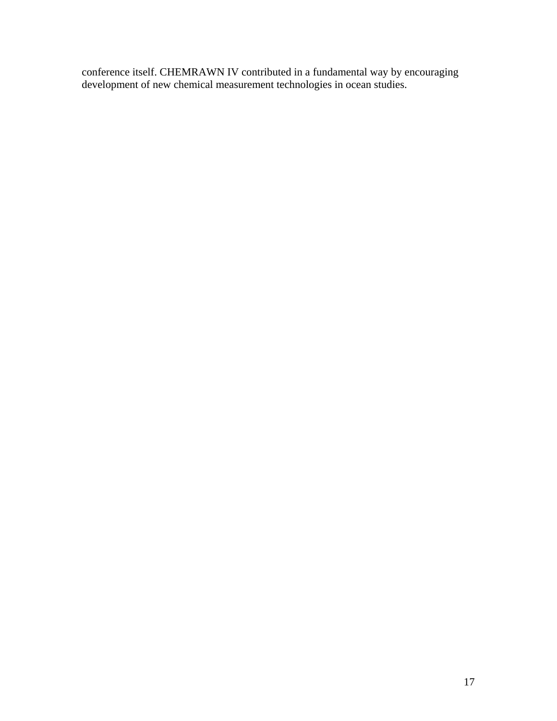conference itself. CHEMRAWN IV contributed in a fundamental way by encouraging development of new chemical measurement technologies in ocean studies.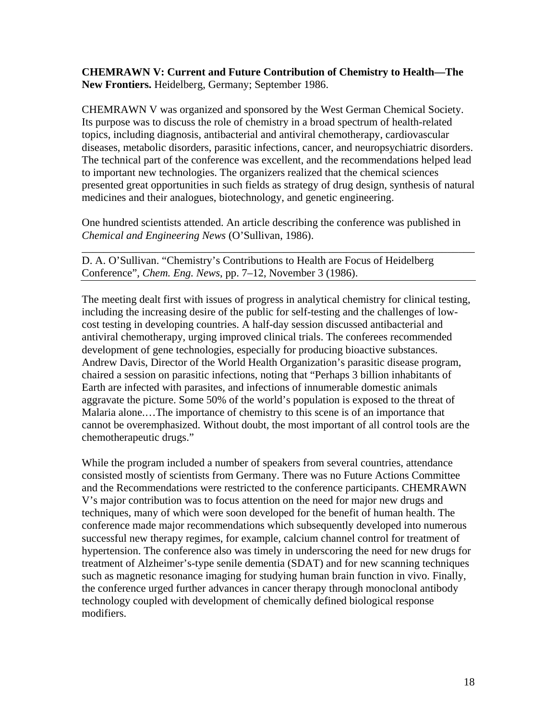#### **CHEMRAWN V: Current and Future Contribution of Chemistry to Health—The New Frontiers.** Heidelberg, Germany; September 1986.

CHEMRAWN V was organized and sponsored by the West German Chemical Society. Its purpose was to discuss the role of chemistry in a broad spectrum of health-related topics, including diagnosis, antibacterial and antiviral chemotherapy, cardiovascular diseases, metabolic disorders, parasitic infections, cancer, and neuropsychiatric disorders. The technical part of the conference was excellent, and the recommendations helped lead to important new technologies. The organizers realized that the chemical sciences presented great opportunities in such fields as strategy of drug design, synthesis of natural medicines and their analogues, biotechnology, and genetic engineering.

One hundred scientists attended. An article describing the conference was published in *Chemical and Engineering News* (O'Sullivan, 1986).

\_\_\_\_\_\_\_\_\_\_\_\_\_\_\_\_\_\_\_\_\_\_\_\_\_\_\_\_\_\_\_\_\_\_\_\_\_\_\_\_\_\_\_\_\_\_\_\_\_\_\_\_\_\_\_\_\_\_\_\_\_\_\_\_\_\_\_\_\_\_\_\_

D. A. O'Sullivan. "Chemistry's Contributions to Health are Focus of Heidelberg Conference", *Chem. Eng. News*, pp. 7–12, November 3 (1986).

The meeting dealt first with issues of progress in analytical chemistry for clinical testing, including the increasing desire of the public for self-testing and the challenges of lowcost testing in developing countries. A half-day session discussed antibacterial and antiviral chemotherapy, urging improved clinical trials. The conferees recommended development of gene technologies, especially for producing bioactive substances. Andrew Davis, Director of the World Health Organization's parasitic disease program, chaired a session on parasitic infections, noting that "Perhaps 3 billion inhabitants of Earth are infected with parasites, and infections of innumerable domestic animals aggravate the picture. Some 50% of the world's population is exposed to the threat of Malaria alone.…The importance of chemistry to this scene is of an importance that cannot be overemphasized. Without doubt, the most important of all control tools are the chemotherapeutic drugs."

While the program included a number of speakers from several countries, attendance consisted mostly of scientists from Germany. There was no Future Actions Committee and the Recommendations were restricted to the conference participants. CHEMRAWN V's major contribution was to focus attention on the need for major new drugs and techniques, many of which were soon developed for the benefit of human health. The conference made major recommendations which subsequently developed into numerous successful new therapy regimes, for example, calcium channel control for treatment of hypertension. The conference also was timely in underscoring the need for new drugs for treatment of Alzheimer's-type senile dementia (SDAT) and for new scanning techniques such as magnetic resonance imaging for studying human brain function in vivo. Finally, the conference urged further advances in cancer therapy through monoclonal antibody technology coupled with development of chemically defined biological response modifiers.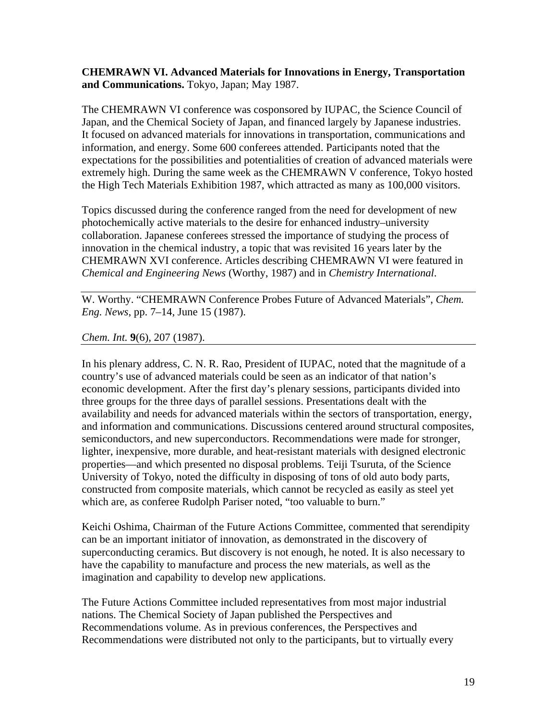#### **CHEMRAWN VI. Advanced Materials for Innovations in Energy, Transportation and Communications.** Tokyo, Japan; May 1987.

The CHEMRAWN VI conference was cosponsored by IUPAC, the Science Council of Japan, and the Chemical Society of Japan, and financed largely by Japanese industries. It focused on advanced materials for innovations in transportation, communications and information, and energy. Some 600 conferees attended. Participants noted that the expectations for the possibilities and potentialities of creation of advanced materials were extremely high. During the same week as the CHEMRAWN V conference, Tokyo hosted the High Tech Materials Exhibition 1987, which attracted as many as 100,000 visitors.

Topics discussed during the conference ranged from the need for development of new photochemically active materials to the desire for enhanced industry–university collaboration. Japanese conferees stressed the importance of studying the process of innovation in the chemical industry, a topic that was revisited 16 years later by the CHEMRAWN XVI conference. Articles describing CHEMRAWN VI were featured in *Chemical and Engineering News* (Worthy, 1987) and in *Chemistry International*.

W. Worthy. "CHEMRAWN Conference Probes Future of Advanced Materials", *Chem. Eng. News*, pp. 7–14, June 15 (1987).

*Chem. Int.* **9**(6), 207 (1987).

In his plenary address, C. N. R. Rao, President of IUPAC, noted that the magnitude of a country's use of advanced materials could be seen as an indicator of that nation's economic development. After the first day's plenary sessions, participants divided into three groups for the three days of parallel sessions. Presentations dealt with the availability and needs for advanced materials within the sectors of transportation, energy, and information and communications. Discussions centered around structural composites, semiconductors, and new superconductors. Recommendations were made for stronger, lighter, inexpensive, more durable, and heat-resistant materials with designed electronic properties—and which presented no disposal problems. Teiji Tsuruta, of the Science University of Tokyo, noted the difficulty in disposing of tons of old auto body parts, constructed from composite materials, which cannot be recycled as easily as steel yet which are, as conferee Rudolph Pariser noted, "too valuable to burn."

Keichi Oshima, Chairman of the Future Actions Committee, commented that serendipity can be an important initiator of innovation, as demonstrated in the discovery of superconducting ceramics. But discovery is not enough, he noted. It is also necessary to have the capability to manufacture and process the new materials, as well as the imagination and capability to develop new applications.

The Future Actions Committee included representatives from most major industrial nations. The Chemical Society of Japan published the Perspectives and Recommendations volume. As in previous conferences, the Perspectives and Recommendations were distributed not only to the participants, but to virtually every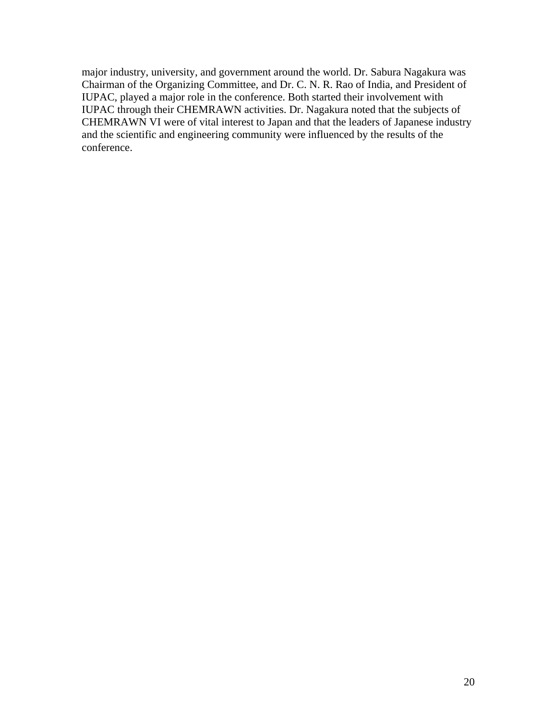major industry, university, and government around the world. Dr. Sabura Nagakura was Chairman of the Organizing Committee, and Dr. C. N. R. Rao of India, and President of IUPAC, played a major role in the conference. Both started their involvement with IUPAC through their CHEMRAWN activities. Dr. Nagakura noted that the subjects of CHEMRAWN VI were of vital interest to Japan and that the leaders of Japanese industry and the scientific and engineering community were influenced by the results of the conference.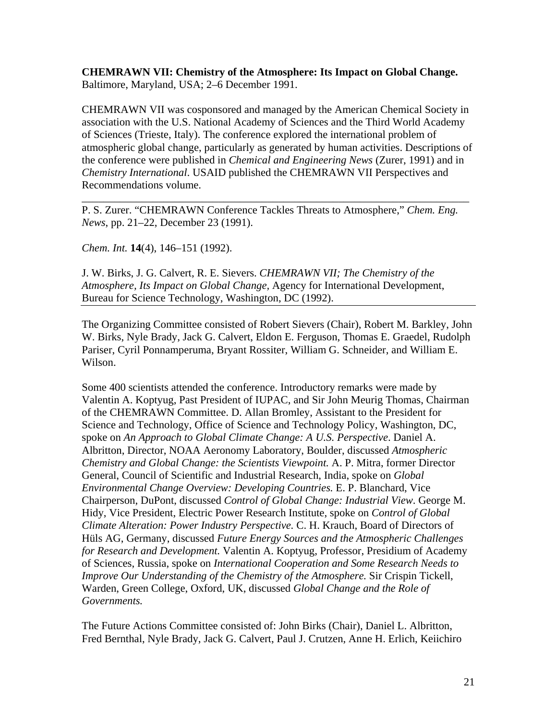**CHEMRAWN VII: Chemistry of the Atmosphere: Its Impact on Global Change.** Baltimore, Maryland, USA; 2–6 December 1991.

CHEMRAWN VII was cosponsored and managed by the American Chemical Society in association with the U.S. National Academy of Sciences and the Third World Academy of Sciences (Trieste, Italy). The conference explored the international problem of atmospheric global change, particularly as generated by human activities. Descriptions of the conference were published in *Chemical and Engineering News* (Zurer, 1991) and in *Chemistry International*. USAID published the CHEMRAWN VII Perspectives and Recommendations volume.

P. S. Zurer. "CHEMRAWN Conference Tackles Threats to Atmosphere," *Chem. Eng. News*, pp. 21–22, December 23 (1991).

\_\_\_\_\_\_\_\_\_\_\_\_\_\_\_\_\_\_\_\_\_\_\_\_\_\_\_\_\_\_\_\_\_\_\_\_\_\_\_\_\_\_\_\_\_\_\_\_\_\_\_\_\_\_\_\_\_\_\_\_\_\_\_\_\_\_\_\_\_\_\_

*Chem. Int.* **14**(4), 146–151 (1992).

J. W. Birks, J. G. Calvert, R. E. Sievers. *CHEMRAWN VII; The Chemistry of the Atmosphere, Its Impact on Global Change,* Agency for International Development, Bureau for Science Technology, Washington, DC (1992).

The Organizing Committee consisted of Robert Sievers (Chair), Robert M. Barkley, John W. Birks, Nyle Brady, Jack G. Calvert, Eldon E. Ferguson, Thomas E. Graedel, Rudolph Pariser, Cyril Ponnamperuma, Bryant Rossiter, William G. Schneider, and William E. Wilson.

Some 400 scientists attended the conference. Introductory remarks were made by Valentin A. Koptyug, Past President of IUPAC, and Sir John Meurig Thomas, Chairman of the CHEMRAWN Committee. D. Allan Bromley, Assistant to the President for Science and Technology, Office of Science and Technology Policy, Washington, DC, spoke on *An Approach to Global Climate Change: A U.S. Perspective*. Daniel A. Albritton, Director, NOAA Aeronomy Laboratory, Boulder, discussed *Atmospheric Chemistry and Global Change: the Scientists Viewpoint.* A. P. Mitra, former Director General, Council of Scientific and Industrial Research, India, spoke on *Global Environmental Change Overview: Developing Countries.* E. P. Blanchard, Vice Chairperson, DuPont, discussed *Control of Global Change: Industrial View*. George M. Hidy, Vice President, Electric Power Research Institute, spoke on *Control of Global Climate Alteration: Power Industry Perspective.* C. H. Krauch, Board of Directors of Hüls AG, Germany, discussed *Future Energy Sources and the Atmospheric Challenges for Research and Development.* Valentin A. Koptyug, Professor, Presidium of Academy of Sciences, Russia, spoke on *International Cooperation and Some Research Needs to Improve Our Understanding of the Chemistry of the Atmosphere.* Sir Crispin Tickell, Warden, Green College, Oxford, UK, discussed *Global Change and the Role of Governments.*

The Future Actions Committee consisted of: John Birks (Chair), Daniel L. Albritton, Fred Bernthal, Nyle Brady, Jack G. Calvert, Paul J. Crutzen, Anne H. Erlich, Keiichiro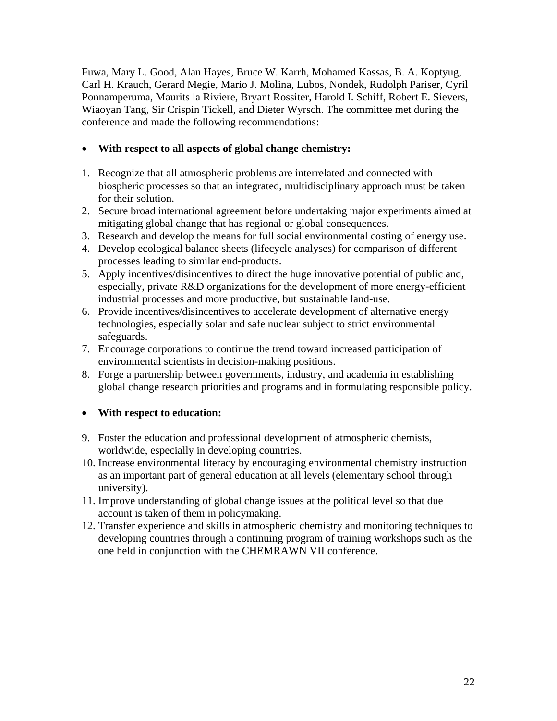Fuwa, Mary L. Good, Alan Hayes, Bruce W. Karrh, Mohamed Kassas, B. A. Koptyug, Carl H. Krauch, Gerard Megie, Mario J. Molina, Lubos, Nondek, Rudolph Pariser, Cyril Ponnamperuma, Maurits la Riviere, Bryant Rossiter, Harold I. Schiff, Robert E. Sievers, Wiaoyan Tang, Sir Crispin Tickell, and Dieter Wyrsch. The committee met during the conference and made the following recommendations:

# • **With respect to all aspects of global change chemistry:**

- 1. Recognize that all atmospheric problems are interrelated and connected with biospheric processes so that an integrated, multidisciplinary approach must be taken for their solution.
- 2. Secure broad international agreement before undertaking major experiments aimed at mitigating global change that has regional or global consequences.
- 3. Research and develop the means for full social environmental costing of energy use.
- 4. Develop ecological balance sheets (lifecycle analyses) for comparison of different processes leading to similar end-products.
- 5. Apply incentives/disincentives to direct the huge innovative potential of public and, especially, private R&D organizations for the development of more energy-efficient industrial processes and more productive, but sustainable land-use.
- 6. Provide incentives/disincentives to accelerate development of alternative energy technologies, especially solar and safe nuclear subject to strict environmental safeguards.
- 7. Encourage corporations to continue the trend toward increased participation of environmental scientists in decision-making positions.
- 8. Forge a partnership between governments, industry, and academia in establishing global change research priorities and programs and in formulating responsible policy.

# • **With respect to education:**

- 9. Foster the education and professional development of atmospheric chemists, worldwide, especially in developing countries.
- 10. Increase environmental literacy by encouraging environmental chemistry instruction as an important part of general education at all levels (elementary school through university).
- 11. Improve understanding of global change issues at the political level so that due account is taken of them in policymaking.
- 12. Transfer experience and skills in atmospheric chemistry and monitoring techniques to developing countries through a continuing program of training workshops such as the one held in conjunction with the CHEMRAWN VII conference.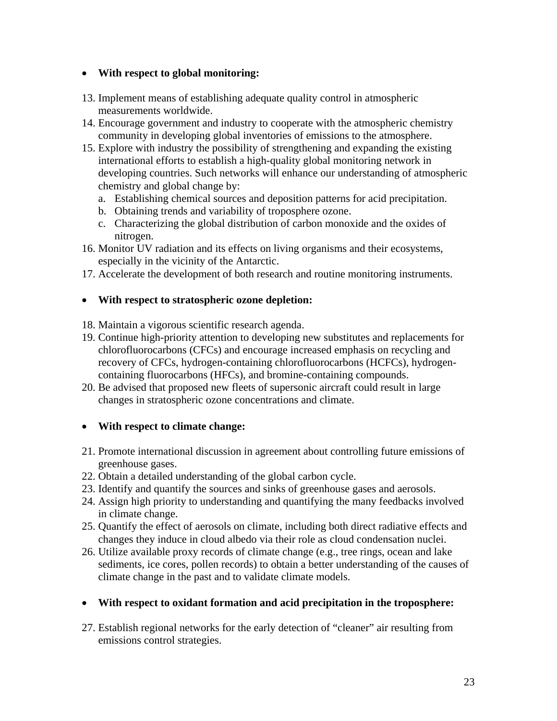## • **With respect to global monitoring:**

- 13. Implement means of establishing adequate quality control in atmospheric measurements worldwide.
- 14. Encourage government and industry to cooperate with the atmospheric chemistry community in developing global inventories of emissions to the atmosphere.
- 15. Explore with industry the possibility of strengthening and expanding the existing international efforts to establish a high-quality global monitoring network in developing countries. Such networks will enhance our understanding of atmospheric chemistry and global change by:
	- a. Establishing chemical sources and deposition patterns for acid precipitation.
	- b. Obtaining trends and variability of troposphere ozone.
	- c. Characterizing the global distribution of carbon monoxide and the oxides of nitrogen.
- 16. Monitor UV radiation and its effects on living organisms and their ecosystems, especially in the vicinity of the Antarctic.
- 17. Accelerate the development of both research and routine monitoring instruments.

#### • **With respect to stratospheric ozone depletion:**

- 18. Maintain a vigorous scientific research agenda.
- 19. Continue high-priority attention to developing new substitutes and replacements for chlorofluorocarbons (CFCs) and encourage increased emphasis on recycling and recovery of CFCs, hydrogen-containing chlorofluorocarbons (HCFCs), hydrogencontaining fluorocarbons (HFCs), and bromine-containing compounds.
- 20. Be advised that proposed new fleets of supersonic aircraft could result in large changes in stratospheric ozone concentrations and climate.

## • **With respect to climate change:**

- 21. Promote international discussion in agreement about controlling future emissions of greenhouse gases.
- 22. Obtain a detailed understanding of the global carbon cycle.
- 23. Identify and quantify the sources and sinks of greenhouse gases and aerosols.
- 24. Assign high priority to understanding and quantifying the many feedbacks involved in climate change.
- 25. Quantify the effect of aerosols on climate, including both direct radiative effects and changes they induce in cloud albedo via their role as cloud condensation nuclei.
- 26. Utilize available proxy records of climate change (e.g., tree rings, ocean and lake sediments, ice cores, pollen records) to obtain a better understanding of the causes of climate change in the past and to validate climate models.

## • **With respect to oxidant formation and acid precipitation in the troposphere:**

27. Establish regional networks for the early detection of "cleaner" air resulting from emissions control strategies.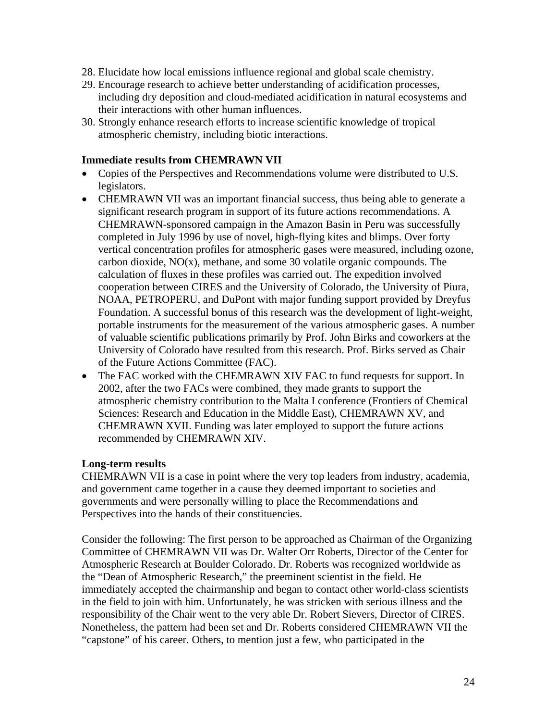- 28. Elucidate how local emissions influence regional and global scale chemistry.
- 29. Encourage research to achieve better understanding of acidification processes, including dry deposition and cloud-mediated acidification in natural ecosystems and their interactions with other human influences.
- 30. Strongly enhance research efforts to increase scientific knowledge of tropical atmospheric chemistry, including biotic interactions.

#### **Immediate results from CHEMRAWN VII**

- Copies of the Perspectives and Recommendations volume were distributed to U.S. legislators.
- CHEMRAWN VII was an important financial success, thus being able to generate a significant research program in support of its future actions recommendations. A CHEMRAWN-sponsored campaign in the Amazon Basin in Peru was successfully completed in July 1996 by use of novel, high-flying kites and blimps. Over forty vertical concentration profiles for atmospheric gases were measured, including ozone, carbon dioxide,  $NO(x)$ , methane, and some 30 volatile organic compounds. The calculation of fluxes in these profiles was carried out. The expedition involved cooperation between CIRES and the University of Colorado, the University of Piura, NOAA, PETROPERU, and DuPont with major funding support provided by Dreyfus Foundation. A successful bonus of this research was the development of light-weight, portable instruments for the measurement of the various atmospheric gases. A number of valuable scientific publications primarily by Prof. John Birks and coworkers at the University of Colorado have resulted from this research. Prof. Birks served as Chair of the Future Actions Committee (FAC).
- The FAC worked with the CHEMRAWN XIV FAC to fund requests for support. In 2002, after the two FACs were combined, they made grants to support the atmospheric chemistry contribution to the Malta I conference (Frontiers of Chemical Sciences: Research and Education in the Middle East), CHEMRAWN XV, and CHEMRAWN XVII. Funding was later employed to support the future actions recommended by CHEMRAWN XIV.

#### **Long-term results**

CHEMRAWN VII is a case in point where the very top leaders from industry, academia, and government came together in a cause they deemed important to societies and governments and were personally willing to place the Recommendations and Perspectives into the hands of their constituencies.

Consider the following: The first person to be approached as Chairman of the Organizing Committee of CHEMRAWN VII was Dr. Walter Orr Roberts, Director of the Center for Atmospheric Research at Boulder Colorado. Dr. Roberts was recognized worldwide as the "Dean of Atmospheric Research," the preeminent scientist in the field. He immediately accepted the chairmanship and began to contact other world-class scientists in the field to join with him. Unfortunately, he was stricken with serious illness and the responsibility of the Chair went to the very able Dr. Robert Sievers, Director of CIRES. Nonetheless, the pattern had been set and Dr. Roberts considered CHEMRAWN VII the "capstone" of his career. Others, to mention just a few, who participated in the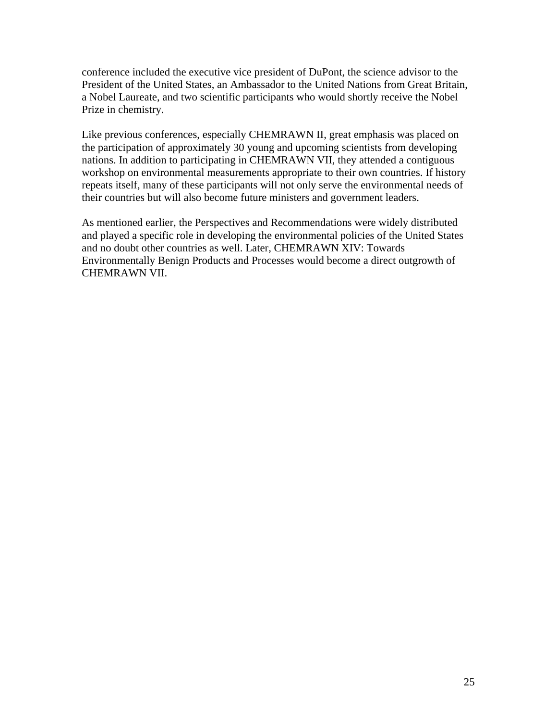conference included the executive vice president of DuPont, the science advisor to the President of the United States, an Ambassador to the United Nations from Great Britain, a Nobel Laureate, and two scientific participants who would shortly receive the Nobel Prize in chemistry.

Like previous conferences, especially CHEMRAWN II, great emphasis was placed on the participation of approximately 30 young and upcoming scientists from developing nations. In addition to participating in CHEMRAWN VII, they attended a contiguous workshop on environmental measurements appropriate to their own countries. If history repeats itself, many of these participants will not only serve the environmental needs of their countries but will also become future ministers and government leaders.

As mentioned earlier, the Perspectives and Recommendations were widely distributed and played a specific role in developing the environmental policies of the United States and no doubt other countries as well. Later, CHEMRAWN XIV: Towards Environmentally Benign Products and Processes would become a direct outgrowth of CHEMRAWN VII.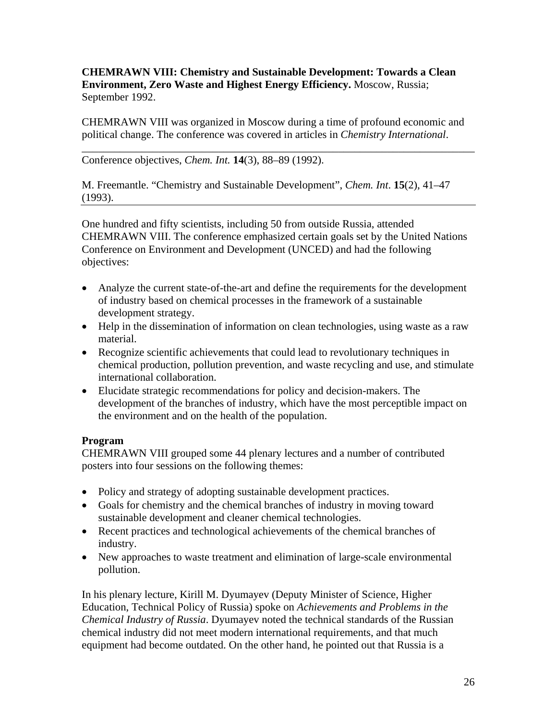**CHEMRAWN VIII: Chemistry and Sustainable Development: Towards a Clean Environment, Zero Waste and Highest Energy Efficiency.** Moscow, Russia; September 1992.

CHEMRAWN VIII was organized in Moscow during a time of profound economic and political change. The conference was covered in articles in *Chemistry International*.

\_\_\_\_\_\_\_\_\_\_\_\_\_\_\_\_\_\_\_\_\_\_\_\_\_\_\_\_\_\_\_\_\_\_\_\_\_\_\_\_\_\_\_\_\_\_\_\_\_\_\_\_\_\_\_\_\_\_\_\_\_\_\_\_\_\_\_\_\_\_\_\_

Conference objectives, *Chem. Int.* **14**(3), 88–89 (1992).

M. Freemantle. "Chemistry and Sustainable Development", *Chem. Int*. **15**(2), 41–47 (1993).

One hundred and fifty scientists, including 50 from outside Russia, attended CHEMRAWN VIII. The conference emphasized certain goals set by the United Nations Conference on Environment and Development (UNCED) and had the following objectives:

- Analyze the current state-of-the-art and define the requirements for the development of industry based on chemical processes in the framework of a sustainable development strategy.
- Help in the dissemination of information on clean technologies, using waste as a raw material.
- Recognize scientific achievements that could lead to revolutionary techniques in chemical production, pollution prevention, and waste recycling and use, and stimulate international collaboration.
- Elucidate strategic recommendations for policy and decision-makers. The development of the branches of industry, which have the most perceptible impact on the environment and on the health of the population.

## **Program**

CHEMRAWN VIII grouped some 44 plenary lectures and a number of contributed posters into four sessions on the following themes:

- Policy and strategy of adopting sustainable development practices.
- Goals for chemistry and the chemical branches of industry in moving toward sustainable development and cleaner chemical technologies.
- Recent practices and technological achievements of the chemical branches of industry.
- New approaches to waste treatment and elimination of large-scale environmental pollution.

In his plenary lecture, Kirill M. Dyumayev (Deputy Minister of Science, Higher Education, Technical Policy of Russia) spoke on *Achievements and Problems in the Chemical Industry of Russia*. Dyumayev noted the technical standards of the Russian chemical industry did not meet modern international requirements, and that much equipment had become outdated. On the other hand, he pointed out that Russia is a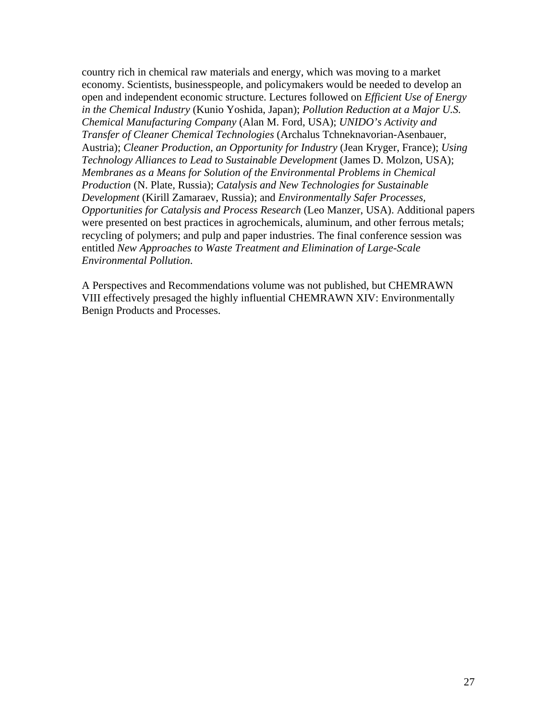country rich in chemical raw materials and energy, which was moving to a market economy. Scientists, businesspeople, and policymakers would be needed to develop an open and independent economic structure. Lectures followed on *Efficient Use of Energy in the Chemical Industry* (Kunio Yoshida, Japan); *Pollution Reduction at a Major U.S. Chemical Manufacturing Company* (Alan M. Ford, USA); *UNIDO's Activity and Transfer of Cleaner Chemical Technologies* (Archalus Tchneknavorian-Asenbauer, Austria); *Cleaner Production, an Opportunity for Industry* (Jean Kryger, France); *Using Technology Alliances to Lead to Sustainable Development* (James D. Molzon, USA); *Membranes as a Means for Solution of the Environmental Problems in Chemical Production* (N. Plate, Russia); *Catalysis and New Technologies for Sustainable Development* (Kirill Zamaraev, Russia); and *Environmentally Safer Processes, Opportunities for Catalysis and Process Research* (Leo Manzer, USA). Additional papers were presented on best practices in agrochemicals, aluminum, and other ferrous metals; recycling of polymers; and pulp and paper industries. The final conference session was entitled *New Approaches to Waste Treatment and Elimination of Large-Scale Environmental Pollution*.

A Perspectives and Recommendations volume was not published, but CHEMRAWN VIII effectively presaged the highly influential CHEMRAWN XIV: Environmentally Benign Products and Processes.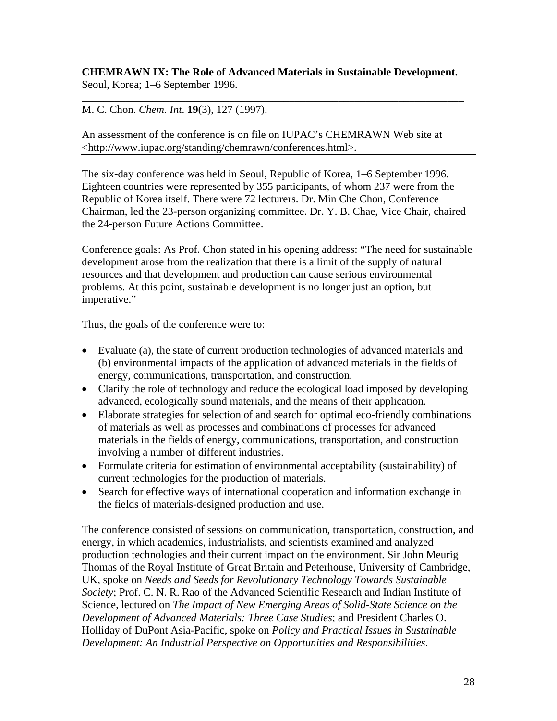#### **CHEMRAWN IX: The Role of Advanced Materials in Sustainable Development.** Seoul, Korea; 1–6 September 1996.

\_\_\_\_\_\_\_\_\_\_\_\_\_\_\_\_\_\_\_\_\_\_\_\_\_\_\_\_\_\_\_\_\_\_\_\_\_\_\_\_\_\_\_\_\_\_\_\_\_\_\_\_\_\_\_\_\_\_\_\_\_\_\_\_\_\_\_\_\_\_

# M. C. Chon. *Chem. Int*. **19**(3), 127 (1997).

An assessment of the conference is on file on IUPAC's CHEMRAWN Web site at <http://www.iupac.org/standing/chemrawn/conferences.html>.

The six-day conference was held in Seoul, Republic of Korea, 1–6 September 1996. Eighteen countries were represented by 355 participants, of whom 237 were from the Republic of Korea itself. There were 72 lecturers. Dr. Min Che Chon, Conference Chairman, led the 23-person organizing committee. Dr. Y. B. Chae, Vice Chair, chaired the 24-person Future Actions Committee.

Conference goals: As Prof. Chon stated in his opening address: "The need for sustainable development arose from the realization that there is a limit of the supply of natural resources and that development and production can cause serious environmental problems. At this point, sustainable development is no longer just an option, but imperative."

Thus, the goals of the conference were to:

- Evaluate (a), the state of current production technologies of advanced materials and (b) environmental impacts of the application of advanced materials in the fields of energy, communications, transportation, and construction.
- Clarify the role of technology and reduce the ecological load imposed by developing advanced, ecologically sound materials, and the means of their application.
- Elaborate strategies for selection of and search for optimal eco-friendly combinations of materials as well as processes and combinations of processes for advanced materials in the fields of energy, communications, transportation, and construction involving a number of different industries.
- Formulate criteria for estimation of environmental acceptability (sustainability) of current technologies for the production of materials.
- Search for effective ways of international cooperation and information exchange in the fields of materials-designed production and use.

The conference consisted of sessions on communication, transportation, construction, and energy, in which academics, industrialists, and scientists examined and analyzed production technologies and their current impact on the environment. Sir John Meurig Thomas of the Royal Institute of Great Britain and Peterhouse, University of Cambridge, UK, spoke on *Needs and Seeds for Revolutionary Technology Towards Sustainable Society*; Prof. C. N. R. Rao of the Advanced Scientific Research and Indian Institute of Science, lectured on *The Impact of New Emerging Areas of Solid-State Science on the Development of Advanced Materials: Three Case Studies*; and President Charles O. Holliday of DuPont Asia-Pacific, spoke on *Policy and Practical Issues in Sustainable Development: An Industrial Perspective on Opportunities and Responsibilities*.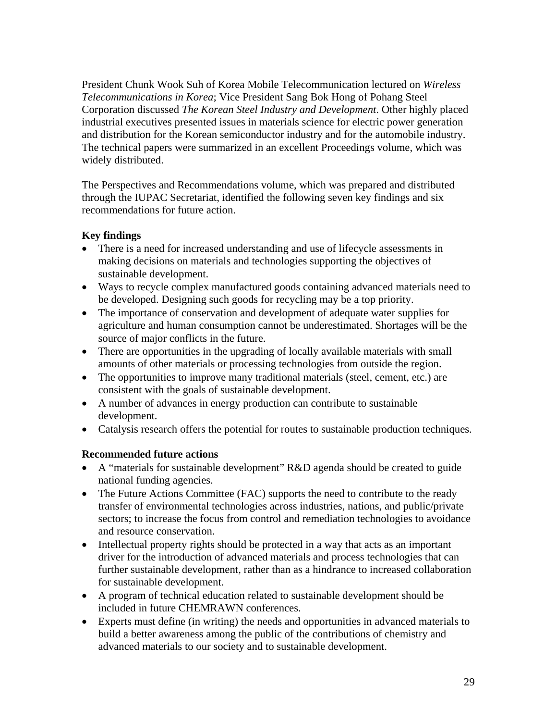President Chunk Wook Suh of Korea Mobile Telecommunication lectured on *Wireless Telecommunications in Korea*; Vice President Sang Bok Hong of Pohang Steel Corporation discussed *The Korean Steel Industry and Development*. Other highly placed industrial executives presented issues in materials science for electric power generation and distribution for the Korean semiconductor industry and for the automobile industry. The technical papers were summarized in an excellent Proceedings volume, which was widely distributed.

The Perspectives and Recommendations volume, which was prepared and distributed through the IUPAC Secretariat, identified the following seven key findings and six recommendations for future action.

# **Key findings**

- There is a need for increased understanding and use of lifecycle assessments in making decisions on materials and technologies supporting the objectives of sustainable development.
- Ways to recycle complex manufactured goods containing advanced materials need to be developed. Designing such goods for recycling may be a top priority.
- The importance of conservation and development of adequate water supplies for agriculture and human consumption cannot be underestimated. Shortages will be the source of major conflicts in the future.
- There are opportunities in the upgrading of locally available materials with small amounts of other materials or processing technologies from outside the region.
- The opportunities to improve many traditional materials (steel, cement, etc.) are consistent with the goals of sustainable development.
- A number of advances in energy production can contribute to sustainable development.
- Catalysis research offers the potential for routes to sustainable production techniques.

# **Recommended future actions**

- A "materials for sustainable development" R&D agenda should be created to guide national funding agencies.
- The Future Actions Committee (FAC) supports the need to contribute to the ready transfer of environmental technologies across industries, nations, and public/private sectors; to increase the focus from control and remediation technologies to avoidance and resource conservation.
- Intellectual property rights should be protected in a way that acts as an important driver for the introduction of advanced materials and process technologies that can further sustainable development, rather than as a hindrance to increased collaboration for sustainable development.
- A program of technical education related to sustainable development should be included in future CHEMRAWN conferences.
- Experts must define (in writing) the needs and opportunities in advanced materials to build a better awareness among the public of the contributions of chemistry and advanced materials to our society and to sustainable development.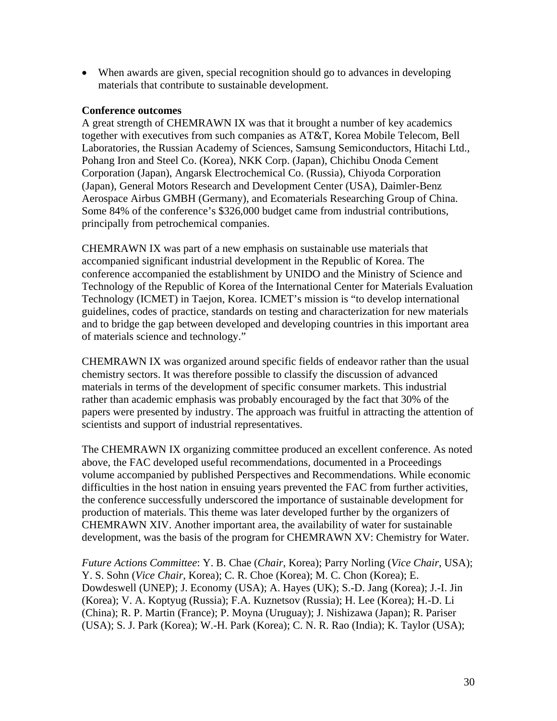• When awards are given, special recognition should go to advances in developing materials that contribute to sustainable development.

#### **Conference outcomes**

A great strength of CHEMRAWN IX was that it brought a number of key academics together with executives from such companies as AT&T, Korea Mobile Telecom, Bell Laboratories, the Russian Academy of Sciences, Samsung Semiconductors, Hitachi Ltd., Pohang Iron and Steel Co. (Korea), NKK Corp. (Japan), Chichibu Onoda Cement Corporation (Japan), Angarsk Electrochemical Co. (Russia), Chiyoda Corporation (Japan), General Motors Research and Development Center (USA), Daimler-Benz Aerospace Airbus GMBH (Germany), and Ecomaterials Researching Group of China. Some 84% of the conference's \$326,000 budget came from industrial contributions, principally from petrochemical companies.

CHEMRAWN IX was part of a new emphasis on sustainable use materials that accompanied significant industrial development in the Republic of Korea. The conference accompanied the establishment by UNIDO and the Ministry of Science and Technology of the Republic of Korea of the International Center for Materials Evaluation Technology (ICMET) in Taejon, Korea. ICMET's mission is "to develop international guidelines, codes of practice, standards on testing and characterization for new materials and to bridge the gap between developed and developing countries in this important area of materials science and technology."

CHEMRAWN IX was organized around specific fields of endeavor rather than the usual chemistry sectors. It was therefore possible to classify the discussion of advanced materials in terms of the development of specific consumer markets. This industrial rather than academic emphasis was probably encouraged by the fact that 30% of the papers were presented by industry. The approach was fruitful in attracting the attention of scientists and support of industrial representatives.

The CHEMRAWN IX organizing committee produced an excellent conference. As noted above, the FAC developed useful recommendations, documented in a Proceedings volume accompanied by published Perspectives and Recommendations. While economic difficulties in the host nation in ensuing years prevented the FAC from further activities, the conference successfully underscored the importance of sustainable development for production of materials. This theme was later developed further by the organizers of CHEMRAWN XIV. Another important area, the availability of water for sustainable development, was the basis of the program for CHEMRAWN XV: Chemistry for Water.

*Future Actions Committee*: Y. B. Chae (*Chair*, Korea); Parry Norling (*Vice Chair*, USA); Y. S. Sohn (*Vice Chair*, Korea); C. R. Choe (Korea); M. C. Chon (Korea); E. Dowdeswell (UNEP); J. Economy (USA); A. Hayes (UK); S.-D. Jang (Korea); J.-I. Jin (Korea); V. A. Koptyug (Russia); F.A. Kuznetsov (Russia); H. Lee (Korea); H.-D. Li (China); R. P. Martin (France); P. Moyna (Uruguay); J. Nishizawa (Japan); R. Pariser (USA); S. J. Park (Korea); W.-H. Park (Korea); C. N. R. Rao (India); K. Taylor (USA);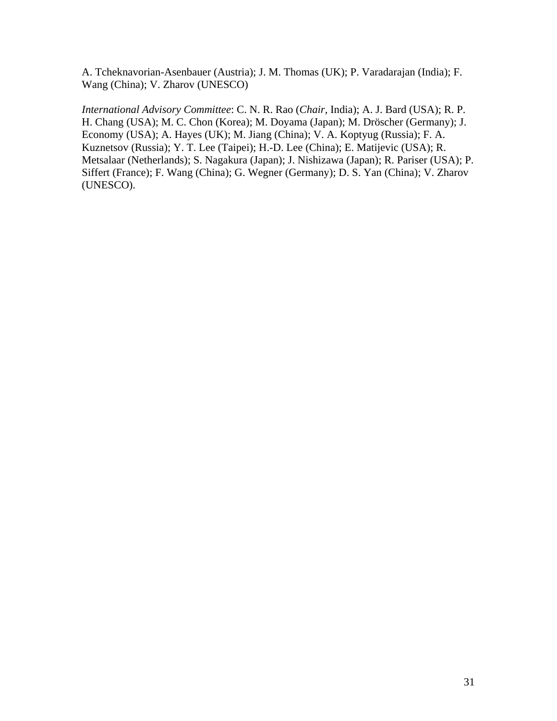A. Tcheknavorian-Asenbauer (Austria); J. M. Thomas (UK); P. Varadarajan (India); F. Wang (China); V. Zharov (UNESCO)

*International Advisory Committee*: C. N. R. Rao (*Chair*, India); A. J. Bard (USA); R. P. H. Chang (USA); M. C. Chon (Korea); M. Doyama (Japan); M. Dröscher (Germany); J. Economy (USA); A. Hayes (UK); M. Jiang (China); V. A. Koptyug (Russia); F. A. Kuznetsov (Russia); Y. T. Lee (Taipei); H.-D. Lee (China); E. Matijevic (USA); R. Metsalaar (Netherlands); S. Nagakura (Japan); J. Nishizawa (Japan); R. Pariser (USA); P. Siffert (France); F. Wang (China); G. Wegner (Germany); D. S. Yan (China); V. Zharov (UNESCO).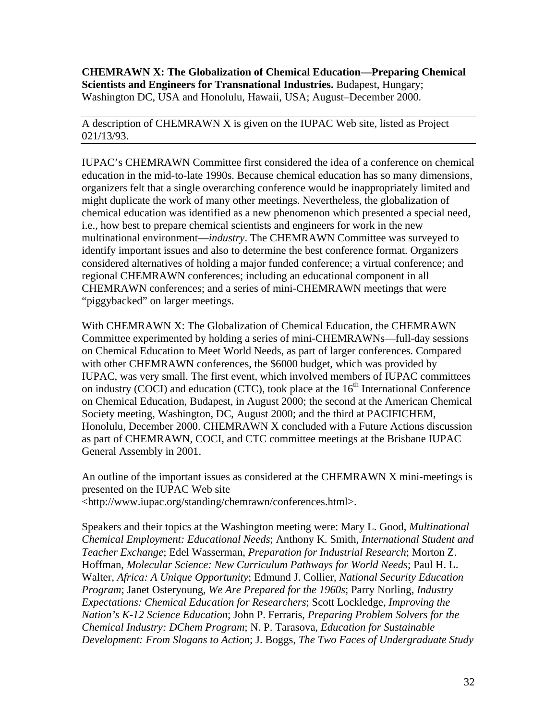**CHEMRAWN X: The Globalization of Chemical Education—Preparing Chemical Scientists and Engineers for Transnational Industries.** Budapest, Hungary; Washington DC, USA and Honolulu, Hawaii, USA; August–December 2000.

A description of CHEMRAWN X is given on the IUPAC Web site, listed as Project 021/13/93.

IUPAC's CHEMRAWN Committee first considered the idea of a conference on chemical education in the mid-to-late 1990s. Because chemical education has so many dimensions, organizers felt that a single overarching conference would be inappropriately limited and might duplicate the work of many other meetings. Nevertheless, the globalization of chemical education was identified as a new phenomenon which presented a special need, i.e., how best to prepare chemical scientists and engineers for work in the new multinational environment—*industry*. The CHEMRAWN Committee was surveyed to identify important issues and also to determine the best conference format. Organizers considered alternatives of holding a major funded conference; a virtual conference; and regional CHEMRAWN conferences; including an educational component in all CHEMRAWN conferences; and a series of mini-CHEMRAWN meetings that were "piggybacked" on larger meetings.

With CHEMRAWN X: The Globalization of Chemical Education, the CHEMRAWN Committee experimented by holding a series of mini-CHEMRAWNs—full-day sessions on Chemical Education to Meet World Needs, as part of larger conferences. Compared with other CHEMRAWN conferences, the \$6000 budget, which was provided by IUPAC, was very small. The first event, which involved members of IUPAC committees on industry (COCI) and education (CTC), took place at the  $16<sup>th</sup>$  International Conference on Chemical Education, Budapest, in August 2000; the second at the American Chemical Society meeting, Washington, DC, August 2000; and the third at PACIFICHEM, Honolulu, December 2000. CHEMRAWN X concluded with a Future Actions discussion as part of CHEMRAWN, COCI, and CTC committee meetings at the Brisbane IUPAC General Assembly in 2001.

An outline of the important issues as considered at the CHEMRAWN X mini-meetings is presented on the IUPAC Web site <http://www.iupac.org/standing/chemrawn/conferences.html>.

Speakers and their topics at the Washington meeting were: Mary L. Good, *Multinational Chemical Employment: Educational Needs*; Anthony K. Smith, *International Student and Teacher Exchange*; Edel Wasserman, *Preparation for Industrial Research*; Morton Z. Hoffman, *Molecular Science: New Curriculum Pathways for World Needs*; Paul H. L. Walter, *Africa: A Unique Opportunity*; Edmund J. Collier, *National Security Education Program*; Janet Osteryoung, *We Are Prepared for the 1960s*; Parry Norling, *Industry Expectations: Chemical Education for Researchers*; Scott Lockledge, *Improving the Nation's K-12 Science Education*; John P. Ferraris, *Preparing Problem Solvers for the Chemical Industry: DChem Program*; N. P. Tarasova, *Education for Sustainable Development: From Slogans to Action*; J. Boggs, *The Two Faces of Undergraduate Study*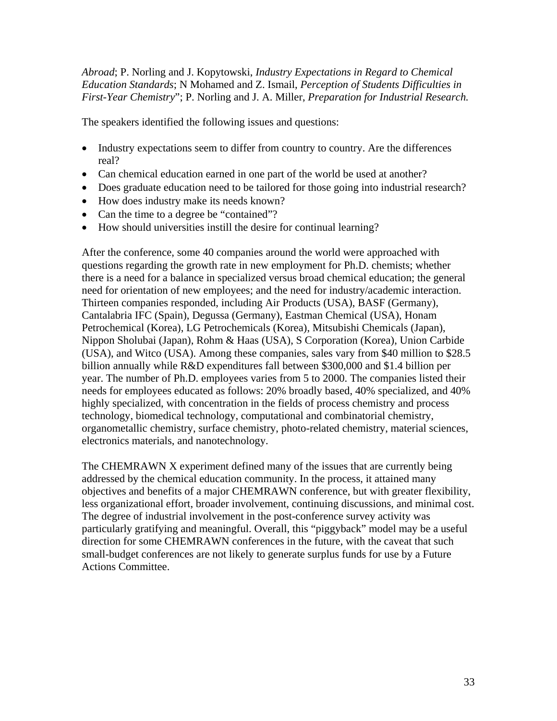*Abroad*; P. Norling and J. Kopytowski, *Industry Expectations in Regard to Chemical Education Standards*; N Mohamed and Z. Ismail, *Perception of Students Difficulties in First-Year Chemistry*"; P. Norling and J. A. Miller, *Preparation for Industrial Research.*

The speakers identified the following issues and questions:

- Industry expectations seem to differ from country to country. Are the differences real?
- Can chemical education earned in one part of the world be used at another?
- Does graduate education need to be tailored for those going into industrial research?
- How does industry make its needs known?
- Can the time to a degree be "contained"?
- How should universities instill the desire for continual learning?

After the conference, some 40 companies around the world were approached with questions regarding the growth rate in new employment for Ph.D. chemists; whether there is a need for a balance in specialized versus broad chemical education; the general need for orientation of new employees; and the need for industry/academic interaction. Thirteen companies responded, including Air Products (USA), BASF (Germany), Cantalabria IFC (Spain), Degussa (Germany), Eastman Chemical (USA), Honam Petrochemical (Korea), LG Petrochemicals (Korea), Mitsubishi Chemicals (Japan), Nippon Sholubai (Japan), Rohm & Haas (USA), S Corporation (Korea), Union Carbide (USA), and Witco (USA). Among these companies, sales vary from \$40 million to \$28.5 billion annually while R&D expenditures fall between \$300,000 and \$1.4 billion per year. The number of Ph.D. employees varies from 5 to 2000. The companies listed their needs for employees educated as follows: 20% broadly based, 40% specialized, and 40% highly specialized, with concentration in the fields of process chemistry and process technology, biomedical technology, computational and combinatorial chemistry, organometallic chemistry, surface chemistry, photo-related chemistry, material sciences, electronics materials, and nanotechnology.

The CHEMRAWN X experiment defined many of the issues that are currently being addressed by the chemical education community. In the process, it attained many objectives and benefits of a major CHEMRAWN conference, but with greater flexibility, less organizational effort, broader involvement, continuing discussions, and minimal cost. The degree of industrial involvement in the post-conference survey activity was particularly gratifying and meaningful. Overall, this "piggyback" model may be a useful direction for some CHEMRAWN conferences in the future, with the caveat that such small-budget conferences are not likely to generate surplus funds for use by a Future Actions Committee.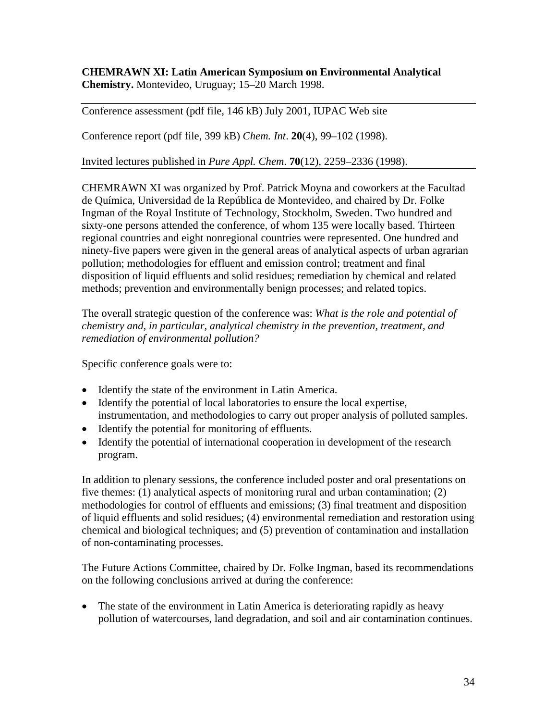## **CHEMRAWN XI: Latin American Symposium on Environmental Analytical Chemistry.** Montevideo, Uruguay; 15–20 March 1998.

Conference assessment (pdf file, 146 kB) July 2001, IUPAC Web site

Conference report (pdf file, 399 kB) *Chem. Int*. **20**(4), 99–102 (1998).

Invited lectures published in *Pure Appl. Chem*. **70**(12), 2259–2336 (1998).

CHEMRAWN XI was organized by Prof. Patrick Moyna and coworkers at the Facultad de Química, Universidad de la República de Montevideo, and chaired by Dr. Folke Ingman of the Royal Institute of Technology, Stockholm, Sweden. Two hundred and sixty-one persons attended the conference, of whom 135 were locally based. Thirteen regional countries and eight nonregional countries were represented. One hundred and ninety-five papers were given in the general areas of analytical aspects of urban agrarian pollution; methodologies for effluent and emission control; treatment and final disposition of liquid effluents and solid residues; remediation by chemical and related methods; prevention and environmentally benign processes; and related topics.

The overall strategic question of the conference was: *What is the role and potential of chemistry and, in particular, analytical chemistry in the prevention, treatment, and remediation of environmental pollution?*

Specific conference goals were to:

- Identify the state of the environment in Latin America.
- Identify the potential of local laboratories to ensure the local expertise, instrumentation, and methodologies to carry out proper analysis of polluted samples.
- Identify the potential for monitoring of effluents.
- Identify the potential of international cooperation in development of the research program.

In addition to plenary sessions, the conference included poster and oral presentations on five themes: (1) analytical aspects of monitoring rural and urban contamination; (2) methodologies for control of effluents and emissions; (3) final treatment and disposition of liquid effluents and solid residues; (4) environmental remediation and restoration using chemical and biological techniques; and (5) prevention of contamination and installation of non-contaminating processes.

The Future Actions Committee, chaired by Dr. Folke Ingman, based its recommendations on the following conclusions arrived at during the conference:

• The state of the environment in Latin America is deteriorating rapidly as heavy pollution of watercourses, land degradation, and soil and air contamination continues.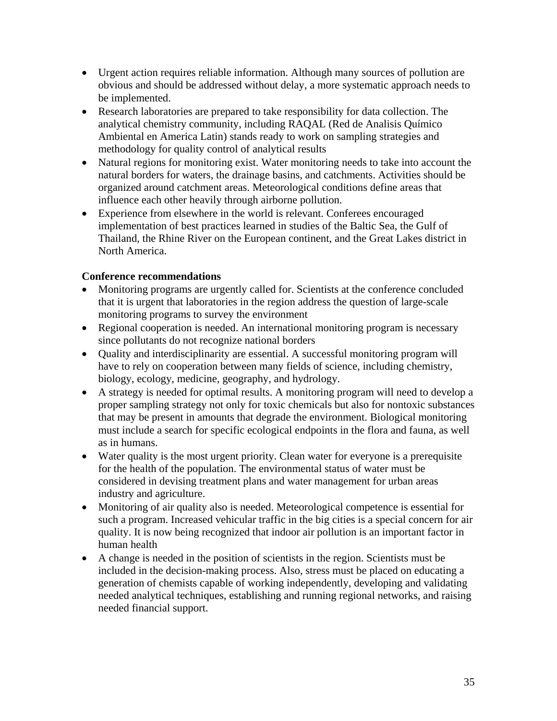- Urgent action requires reliable information. Although many sources of pollution are obvious and should be addressed without delay, a more systematic approach needs to be implemented.
- Research laboratories are prepared to take responsibility for data collection. The analytical chemistry community, including RAQAL (Red de Analisis Químico Ambiental en America Latin) stands ready to work on sampling strategies and methodology for quality control of analytical results
- Natural regions for monitoring exist. Water monitoring needs to take into account the natural borders for waters, the drainage basins, and catchments. Activities should be organized around catchment areas. Meteorological conditions define areas that influence each other heavily through airborne pollution.
- Experience from elsewhere in the world is relevant. Conferees encouraged implementation of best practices learned in studies of the Baltic Sea, the Gulf of Thailand, the Rhine River on the European continent, and the Great Lakes district in North America.

## **Conference recommendations**

- Monitoring programs are urgently called for. Scientists at the conference concluded that it is urgent that laboratories in the region address the question of large-scale monitoring programs to survey the environment
- Regional cooperation is needed. An international monitoring program is necessary since pollutants do not recognize national borders
- Quality and interdisciplinarity are essential. A successful monitoring program will have to rely on cooperation between many fields of science, including chemistry, biology, ecology, medicine, geography, and hydrology.
- A strategy is needed for optimal results. A monitoring program will need to develop a proper sampling strategy not only for toxic chemicals but also for nontoxic substances that may be present in amounts that degrade the environment. Biological monitoring must include a search for specific ecological endpoints in the flora and fauna, as well as in humans.
- Water quality is the most urgent priority. Clean water for everyone is a prerequisite for the health of the population. The environmental status of water must be considered in devising treatment plans and water management for urban areas industry and agriculture.
- Monitoring of air quality also is needed. Meteorological competence is essential for such a program. Increased vehicular traffic in the big cities is a special concern for air quality. It is now being recognized that indoor air pollution is an important factor in human health
- A change is needed in the position of scientists in the region. Scientists must be included in the decision-making process. Also, stress must be placed on educating a generation of chemists capable of working independently, developing and validating needed analytical techniques, establishing and running regional networks, and raising needed financial support.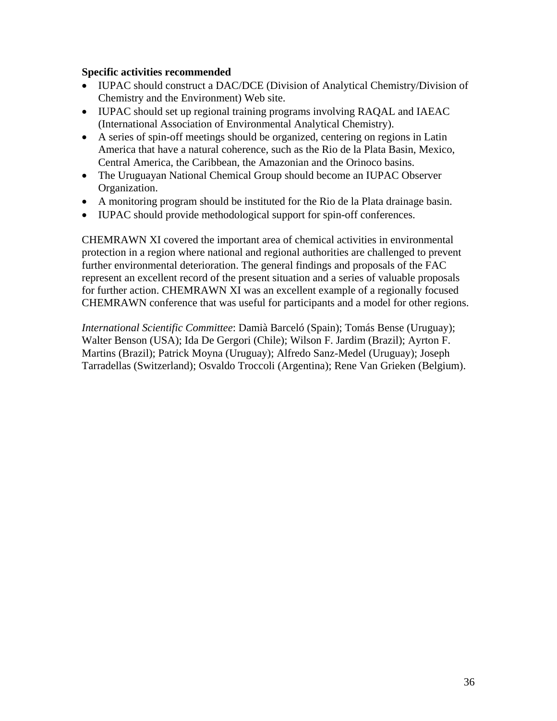#### **Specific activities recommended**

- IUPAC should construct a DAC/DCE (Division of Analytical Chemistry/Division of Chemistry and the Environment) Web site.
- IUPAC should set up regional training programs involving RAQAL and IAEAC (International Association of Environmental Analytical Chemistry).
- A series of spin-off meetings should be organized, centering on regions in Latin America that have a natural coherence, such as the Rio de la Plata Basin, Mexico, Central America, the Caribbean, the Amazonian and the Orinoco basins.
- The Uruguayan National Chemical Group should become an IUPAC Observer Organization.
- A monitoring program should be instituted for the Rio de la Plata drainage basin.
- IUPAC should provide methodological support for spin-off conferences.

CHEMRAWN XI covered the important area of chemical activities in environmental protection in a region where national and regional authorities are challenged to prevent further environmental deterioration. The general findings and proposals of the FAC represent an excellent record of the present situation and a series of valuable proposals for further action. CHEMRAWN XI was an excellent example of a regionally focused CHEMRAWN conference that was useful for participants and a model for other regions.

*International Scientific Committee*: Damià Barceló (Spain); Tomás Bense (Uruguay); Walter Benson (USA); Ida De Gergori (Chile); Wilson F. Jardim (Brazil); Ayrton F. Martins (Brazil); Patrick Moyna (Uruguay); Alfredo Sanz-Medel (Uruguay); Joseph Tarradellas (Switzerland); Osvaldo Troccoli (Argentina); Rene Van Grieken (Belgium).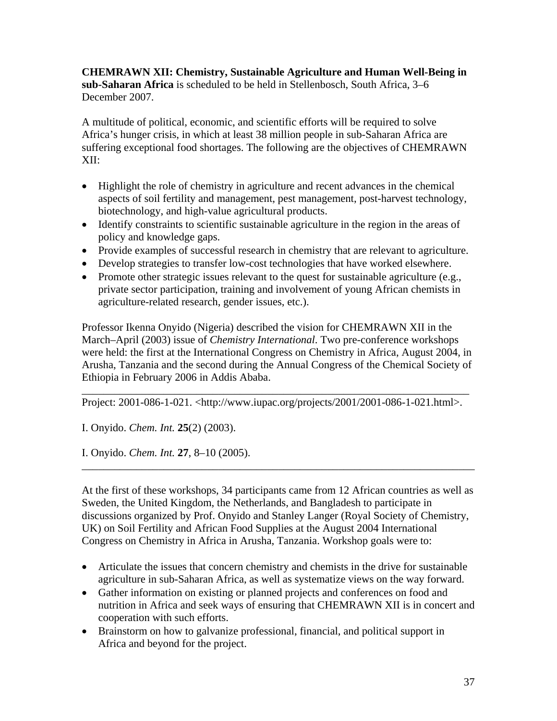**CHEMRAWN XII: Chemistry, Sustainable Agriculture and Human Well-Being in sub-Saharan Africa** is scheduled to be held in Stellenbosch, South Africa, 3–6 December 2007.

A multitude of political, economic, and scientific efforts will be required to solve Africa's hunger crisis, in which at least 38 million people in sub-Saharan Africa are suffering exceptional food shortages. The following are the objectives of CHEMRAWN XII:

- Highlight the role of chemistry in agriculture and recent advances in the chemical aspects of soil fertility and management, pest management, post-harvest technology, biotechnology, and high-value agricultural products.
- Identify constraints to scientific sustainable agriculture in the region in the areas of policy and knowledge gaps.
- Provide examples of successful research in chemistry that are relevant to agriculture.
- Develop strategies to transfer low-cost technologies that have worked elsewhere.
- Promote other strategic issues relevant to the quest for sustainable agriculture (e.g., private sector participation, training and involvement of young African chemists in agriculture-related research, gender issues, etc.).

Professor Ikenna Onyido (Nigeria) described the vision for CHEMRAWN XII in the March–April (2003) issue of *Chemistry International*. Two pre-conference workshops were held: the first at the International Congress on Chemistry in Africa, August 2004, in Arusha, Tanzania and the second during the Annual Congress of the Chemical Society of Ethiopia in February 2006 in Addis Ababa.

\_\_\_\_\_\_\_\_\_\_\_\_\_\_\_\_\_\_\_\_\_\_\_\_\_\_\_\_\_\_\_\_\_\_\_\_\_\_\_\_\_\_\_\_\_\_\_\_\_\_\_\_\_\_\_\_\_\_\_\_\_\_\_\_\_\_\_\_\_\_\_ Project: 2001-086-1-021. <http://www.iupac.org/projects/2001/2001-086-1-021.html>.

I. Onyido. *Chem. Int.* **25**(2) (2003).

I. Onyido. *Chem. Int.* **27**, 8–10 (2005).

At the first of these workshops, 34 participants came from 12 African countries as well as Sweden, the United Kingdom, the Netherlands, and Bangladesh to participate in discussions organized by Prof. Onyido and Stanley Langer (Royal Society of Chemistry, UK) on Soil Fertility and African Food Supplies at the August 2004 International Congress on Chemistry in Africa in Arusha, Tanzania. Workshop goals were to:

\_\_\_\_\_\_\_\_\_\_\_\_\_\_\_\_\_\_\_\_\_\_\_\_\_\_\_\_\_\_\_\_\_\_\_\_\_\_\_\_\_\_\_\_\_\_\_\_\_\_\_\_\_\_\_\_\_\_\_\_\_\_\_\_\_\_\_\_\_\_\_\_

- Articulate the issues that concern chemistry and chemists in the drive for sustainable agriculture in sub-Saharan Africa, as well as systematize views on the way forward.
- Gather information on existing or planned projects and conferences on food and nutrition in Africa and seek ways of ensuring that CHEMRAWN XII is in concert and cooperation with such efforts.
- Brainstorm on how to galvanize professional, financial, and political support in Africa and beyond for the project.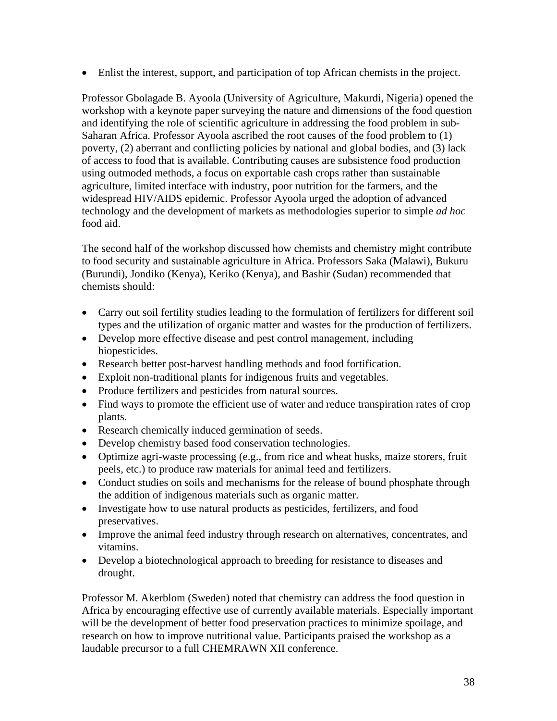• Enlist the interest, support, and participation of top African chemists in the project.

Professor Gbolagade B. Ayoola (University of Agriculture, Makurdi, Nigeria) opened the workshop with a keynote paper surveying the nature and dimensions of the food question and identifying the role of scientific agriculture in addressing the food problem in sub-Saharan Africa. Professor Ayoola ascribed the root causes of the food problem to (1) poverty, (2) aberrant and conflicting policies by national and global bodies, and (3) lack of access to food that is available. Contributing causes are subsistence food production using outmoded methods, a focus on exportable cash crops rather than sustainable agriculture, limited interface with industry, poor nutrition for the farmers, and the widespread HIV/AIDS epidemic. Professor Ayoola urged the adoption of advanced technology and the development of markets as methodologies superior to simple *ad hoc* food aid.

The second half of the workshop discussed how chemists and chemistry might contribute to food security and sustainable agriculture in Africa. Professors Saka (Malawi), Bukuru (Burundi), Jondiko (Kenya), Keriko (Kenya), and Bashir (Sudan) recommended that chemists should:

- Carry out soil fertility studies leading to the formulation of fertilizers for different soil types and the utilization of organic matter and wastes for the production of fertilizers.
- Develop more effective disease and pest control management, including biopesticides.
- Research better post-harvest handling methods and food fortification.
- Exploit non-traditional plants for indigenous fruits and vegetables.
- Produce fertilizers and pesticides from natural sources.
- Find ways to promote the efficient use of water and reduce transpiration rates of crop plants.
- Research chemically induced germination of seeds.
- Develop chemistry based food conservation technologies.
- Optimize agri-waste processing (e.g., from rice and wheat husks, maize storers, fruit peels, etc.) to produce raw materials for animal feed and fertilizers.
- Conduct studies on soils and mechanisms for the release of bound phosphate through the addition of indigenous materials such as organic matter.
- Investigate how to use natural products as pesticides, fertilizers, and food preservatives.
- Improve the animal feed industry through research on alternatives, concentrates, and vitamins.
- Develop a biotechnological approach to breeding for resistance to diseases and drought.

Professor M. Akerblom (Sweden) noted that chemistry can address the food question in Africa by encouraging effective use of currently available materials. Especially important will be the development of better food preservation practices to minimize spoilage, and research on how to improve nutritional value. Participants praised the workshop as a laudable precursor to a full CHEMRAWN XII conference.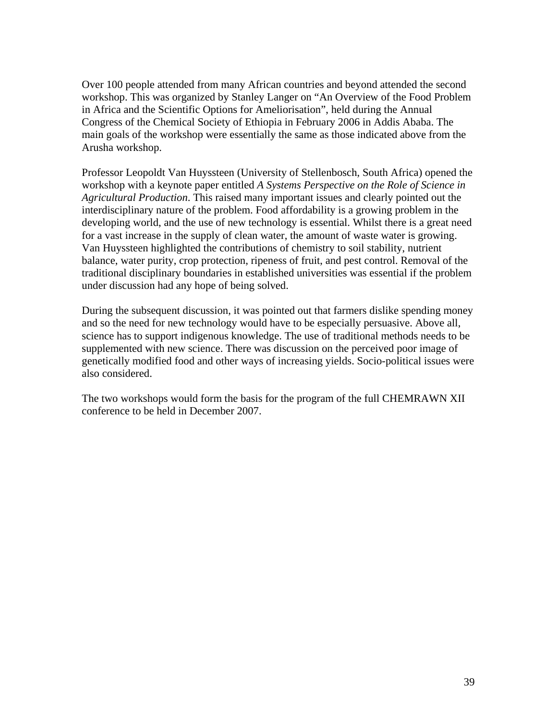Over 100 people attended from many African countries and beyond attended the second workshop. This was organized by Stanley Langer on "An Overview of the Food Problem in Africa and the Scientific Options for Ameliorisation", held during the Annual Congress of the Chemical Society of Ethiopia in February 2006 in Addis Ababa. The main goals of the workshop were essentially the same as those indicated above from the Arusha workshop.

Professor Leopoldt Van Huyssteen (University of Stellenbosch, South Africa) opened the workshop with a keynote paper entitled *A Systems Perspective on the Role of Science in Agricultural Production*. This raised many important issues and clearly pointed out the interdisciplinary nature of the problem. Food affordability is a growing problem in the developing world, and the use of new technology is essential. Whilst there is a great need for a vast increase in the supply of clean water, the amount of waste water is growing. Van Huyssteen highlighted the contributions of chemistry to soil stability, nutrient balance, water purity, crop protection, ripeness of fruit, and pest control. Removal of the traditional disciplinary boundaries in established universities was essential if the problem under discussion had any hope of being solved.

During the subsequent discussion, it was pointed out that farmers dislike spending money and so the need for new technology would have to be especially persuasive. Above all, science has to support indigenous knowledge. The use of traditional methods needs to be supplemented with new science. There was discussion on the perceived poor image of genetically modified food and other ways of increasing yields. Socio-political issues were also considered.

The two workshops would form the basis for the program of the full CHEMRAWN XII conference to be held in December 2007.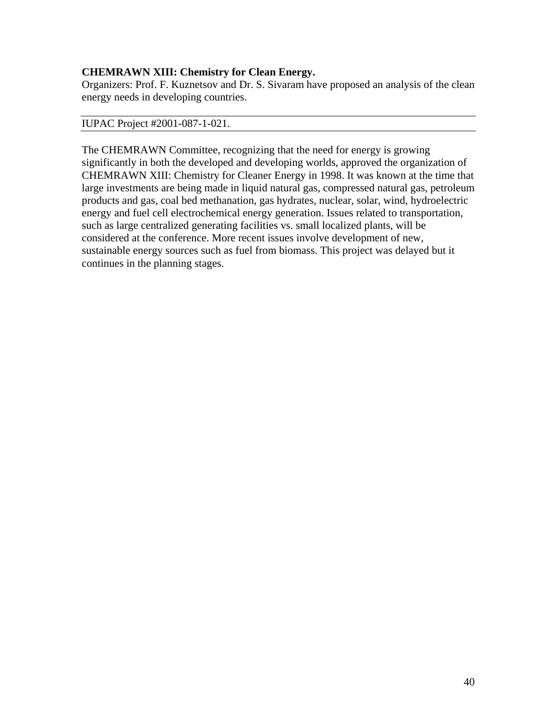## **CHEMRAWN XIII: Chemistry for Clean Energy.**

Organizers: Prof. F. Kuznetsov and Dr. S. Sivaram have proposed an analysis of the clean energy needs in developing countries.

#### IUPAC Project #2001-087-1-021.

The CHEMRAWN Committee, recognizing that the need for energy is growing significantly in both the developed and developing worlds, approved the organization of CHEMRAWN XIII: Chemistry for Cleaner Energy in 1998. It was known at the time that large investments are being made in liquid natural gas, compressed natural gas, petroleum products and gas, coal bed methanation, gas hydrates, nuclear, solar, wind, hydroelectric energy and fuel cell electrochemical energy generation. Issues related to transportation, such as large centralized generating facilities vs. small localized plants, will be considered at the conference. More recent issues involve development of new, sustainable energy sources such as fuel from biomass. This project was delayed but it continues in the planning stages.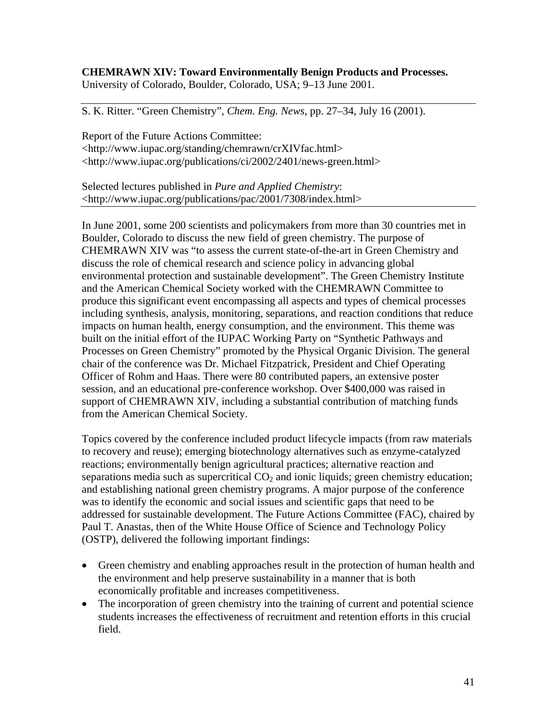#### **CHEMRAWN XIV: Toward Environmentally Benign Products and Processes.** University of Colorado, Boulder, Colorado, USA; 9–13 June 2001.

S. K. Ritter. "Green Chemistry", *Chem. Eng. News*, pp. 27–34, July 16 (2001).

Report of the Future Actions Committee: <http://www.iupac.org/standing/chemrawn/crXIVfac.html> <http://www.iupac.org/publications/ci/2002/2401/news-green.html>

Selected lectures published in *Pure and Applied Chemistry*: <http://www.iupac.org/publications/pac/2001/7308/index.html>

In June 2001, some 200 scientists and policymakers from more than 30 countries met in Boulder, Colorado to discuss the new field of green chemistry. The purpose of CHEMRAWN XIV was "to assess the current state-of-the-art in Green Chemistry and discuss the role of chemical research and science policy in advancing global environmental protection and sustainable development". The Green Chemistry Institute and the American Chemical Society worked with the CHEMRAWN Committee to produce this significant event encompassing all aspects and types of chemical processes including synthesis, analysis, monitoring, separations, and reaction conditions that reduce impacts on human health, energy consumption, and the environment. This theme was built on the initial effort of the IUPAC Working Party on "Synthetic Pathways and Processes on Green Chemistry" promoted by the Physical Organic Division. The general chair of the conference was Dr. Michael Fitzpatrick, President and Chief Operating Officer of Rohm and Haas. There were 80 contributed papers, an extensive poster session, and an educational pre-conference workshop. Over \$400,000 was raised in support of CHEMRAWN XIV, including a substantial contribution of matching funds from the American Chemical Society.

Topics covered by the conference included product lifecycle impacts (from raw materials to recovery and reuse); emerging biotechnology alternatives such as enzyme-catalyzed reactions; environmentally benign agricultural practices; alternative reaction and separations media such as supercritical  $CO<sub>2</sub>$  and ionic liquids; green chemistry education; and establishing national green chemistry programs. A major purpose of the conference was to identify the economic and social issues and scientific gaps that need to be addressed for sustainable development. The Future Actions Committee (FAC), chaired by Paul T. Anastas, then of the White House Office of Science and Technology Policy (OSTP), delivered the following important findings:

- Green chemistry and enabling approaches result in the protection of human health and the environment and help preserve sustainability in a manner that is both economically profitable and increases competitiveness.
- The incorporation of green chemistry into the training of current and potential science students increases the effectiveness of recruitment and retention efforts in this crucial field.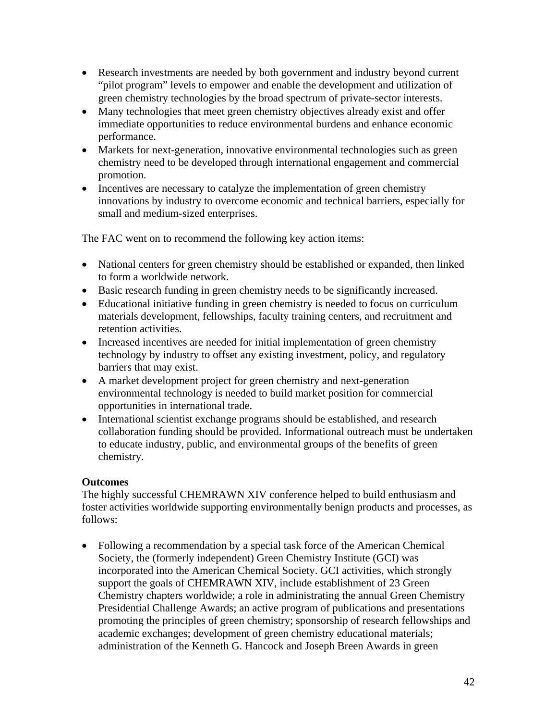- Research investments are needed by both government and industry beyond current "pilot program" levels to empower and enable the development and utilization of green chemistry technologies by the broad spectrum of private-sector interests.
- Many technologies that meet green chemistry objectives already exist and offer immediate opportunities to reduce environmental burdens and enhance economic performance.
- Markets for next-generation, innovative environmental technologies such as green chemistry need to be developed through international engagement and commercial promotion.
- Incentives are necessary to catalyze the implementation of green chemistry innovations by industry to overcome economic and technical barriers, especially for small and medium-sized enterprises.

The FAC went on to recommend the following key action items:

- National centers for green chemistry should be established or expanded, then linked to form a worldwide network.
- Basic research funding in green chemistry needs to be significantly increased.
- Educational initiative funding in green chemistry is needed to focus on curriculum materials development, fellowships, faculty training centers, and recruitment and retention activities.
- Increased incentives are needed for initial implementation of green chemistry technology by industry to offset any existing investment, policy, and regulatory barriers that may exist.
- A market development project for green chemistry and next-generation environmental technology is needed to build market position for commercial opportunities in international trade.
- International scientist exchange programs should be established, and research collaboration funding should be provided. Informational outreach must be undertaken to educate industry, public, and environmental groups of the benefits of green chemistry.

# **Outcomes**

The highly successful CHEMRAWN XIV conference helped to build enthusiasm and foster activities worldwide supporting environmentally benign products and processes, as follows:

• Following a recommendation by a special task force of the American Chemical Society, the (formerly independent) Green Chemistry Institute (GCI) was incorporated into the American Chemical Society. GCI activities, which strongly support the goals of CHEMRAWN XIV, include establishment of 23 Green Chemistry chapters worldwide; a role in administrating the annual Green Chemistry Presidential Challenge Awards; an active program of publications and presentations promoting the principles of green chemistry; sponsorship of research fellowships and academic exchanges; development of green chemistry educational materials; administration of the Kenneth G. Hancock and Joseph Breen Awards in green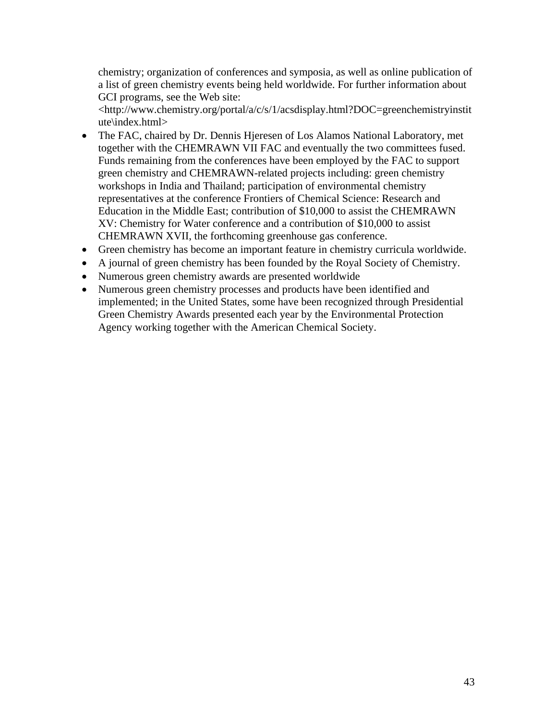chemistry; organization of conferences and symposia, as well as online publication of a list of green chemistry events being held worldwide. For further information about GCI programs, see the Web site:

<http://www.chemistry.org/portal/a/c/s/1/acsdisplay.html?DOC=greenchemistryinstit ute\index.html>

- The FAC, chaired by Dr. Dennis Hjeresen of Los Alamos National Laboratory, met together with the CHEMRAWN VII FAC and eventually the two committees fused. Funds remaining from the conferences have been employed by the FAC to support green chemistry and CHEMRAWN-related projects including: green chemistry workshops in India and Thailand; participation of environmental chemistry representatives at the conference Frontiers of Chemical Science: Research and Education in the Middle East; contribution of \$10,000 to assist the CHEMRAWN XV: Chemistry for Water conference and a contribution of \$10,000 to assist CHEMRAWN XVII, the forthcoming greenhouse gas conference.
- Green chemistry has become an important feature in chemistry curricula worldwide.
- A journal of green chemistry has been founded by the Royal Society of Chemistry.
- Numerous green chemistry awards are presented worldwide
- Numerous green chemistry processes and products have been identified and implemented; in the United States, some have been recognized through Presidential Green Chemistry Awards presented each year by the Environmental Protection Agency working together with the American Chemical Society.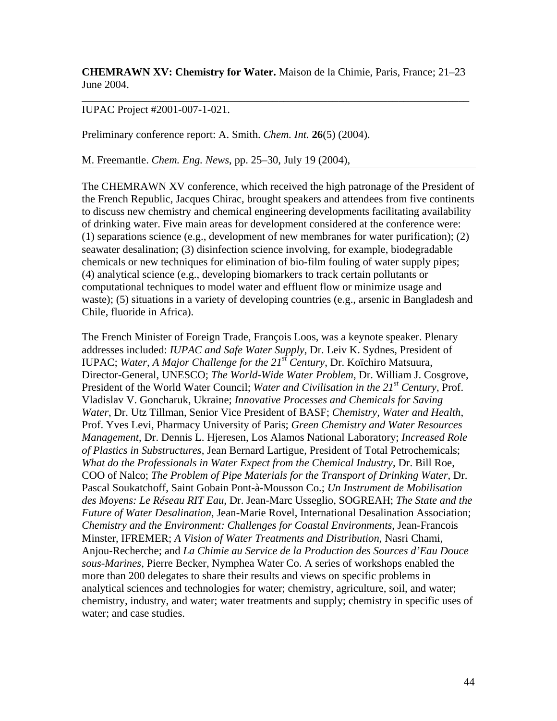**CHEMRAWN XV: Chemistry for Water.** Maison de la Chimie, Paris, France; 21–23 June 2004.

\_\_\_\_\_\_\_\_\_\_\_\_\_\_\_\_\_\_\_\_\_\_\_\_\_\_\_\_\_\_\_\_\_\_\_\_\_\_\_\_\_\_\_\_\_\_\_\_\_\_\_\_\_\_\_\_\_\_\_\_\_\_\_\_\_\_\_\_\_\_\_

#### IUPAC Project #2001-007-1-021.

Preliminary conference report: A. Smith. *Chem. Int.* **26**(5) (2004).

M. Freemantle. *Chem. Eng. News*, pp. 25–30, July 19 (2004),

The CHEMRAWN XV conference, which received the high patronage of the President of the French Republic, Jacques Chirac, brought speakers and attendees from five continents to discuss new chemistry and chemical engineering developments facilitating availability of drinking water. Five main areas for development considered at the conference were: (1) separations science (e.g., development of new membranes for water purification); (2) seawater desalination; (3) disinfection science involving, for example, biodegradable chemicals or new techniques for elimination of bio-film fouling of water supply pipes; (4) analytical science (e.g., developing biomarkers to track certain pollutants or computational techniques to model water and effluent flow or minimize usage and waste); (5) situations in a variety of developing countries (e.g., arsenic in Bangladesh and Chile, fluoride in Africa).

The French Minister of Foreign Trade, François Loos, was a keynote speaker. Plenary addresses included: *IUPAC and Safe Water Supply*, Dr. Leiv K. Sydnes, President of IUPAC; *Water, A Major Challenge for the 21st Century*, Dr. Koïchiro Matsuura, Director-General, UNESCO; *The World-Wide Water Problem*, Dr. William J. Cosgrove, President of the World Water Council; *Water and Civilisation in the 21<sup>st</sup> Century*, Prof. Vladislav V. Goncharuk, Ukraine; *Innovative Processes and Chemicals for Saving Water*, Dr. Utz Tillman, Senior Vice President of BASF; *Chemistry, Water and Health*, Prof. Yves Levi, Pharmacy University of Paris; *Green Chemistry and Water Resources Management*, Dr. Dennis L. Hjeresen, Los Alamos National Laboratory; *Increased Role of Plastics in Substructures*, Jean Bernard Lartigue, President of Total Petrochemicals; *What do the Professionals in Water Expect from the Chemical Industry*, Dr. Bill Roe, COO of Nalco; *The Problem of Pipe Materials for the Transport of Drinking Water*, Dr. Pascal Soukatchoff, Saint Gobain Pont-à-Mousson Co.; *Un Instrument de Mobilisation des Moyens: Le Réseau RIT Eau*, Dr. Jean-Marc Usseglio, SOGREAH; *The State and the Future of Water Desalination*, Jean-Marie Rovel, International Desalination Association; *Chemistry and the Environment: Challenges for Coastal Environments*, Jean-Francois Minster, IFREMER; *A Vision of Water Treatments and Distribution*, Nasri Chami, Anjou-Recherche; and *La Chimie au Service de la Production des Sources d'Eau Douce sous-Marines*, Pierre Becker, Nymphea Water Co. A series of workshops enabled the more than 200 delegates to share their results and views on specific problems in analytical sciences and technologies for water; chemistry, agriculture, soil, and water; chemistry, industry, and water; water treatments and supply; chemistry in specific uses of water; and case studies.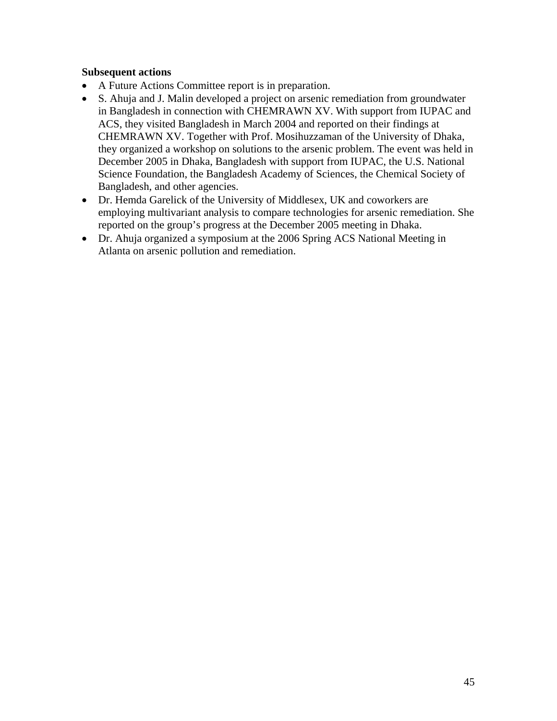## **Subsequent actions**

- A Future Actions Committee report is in preparation.
- S. Ahuja and J. Malin developed a project on arsenic remediation from groundwater in Bangladesh in connection with CHEMRAWN XV. With support from IUPAC and ACS, they visited Bangladesh in March 2004 and reported on their findings at CHEMRAWN XV. Together with Prof. Mosihuzzaman of the University of Dhaka, they organized a workshop on solutions to the arsenic problem. The event was held in December 2005 in Dhaka, Bangladesh with support from IUPAC, the U.S. National Science Foundation, the Bangladesh Academy of Sciences, the Chemical Society of Bangladesh, and other agencies.
- Dr. Hemda Garelick of the University of Middlesex, UK and coworkers are employing multivariant analysis to compare technologies for arsenic remediation. She reported on the group's progress at the December 2005 meeting in Dhaka.
- Dr. Ahuja organized a symposium at the 2006 Spring ACS National Meeting in Atlanta on arsenic pollution and remediation.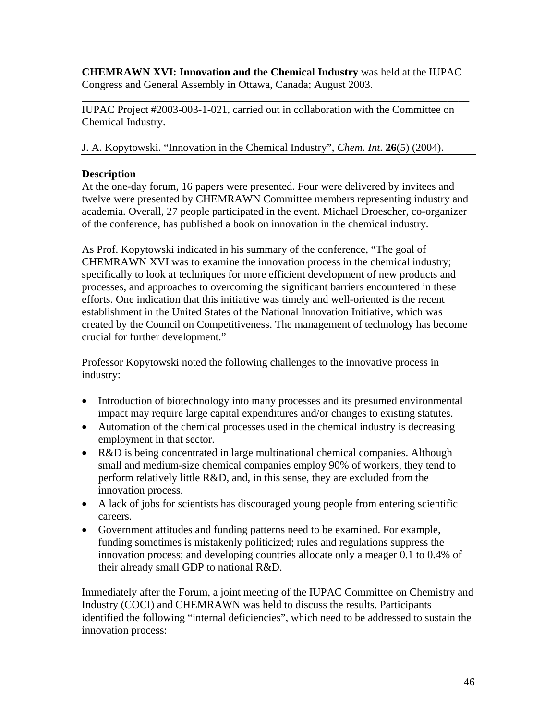**CHEMRAWN XVI: Innovation and the Chemical Industry** was held at the IUPAC Congress and General Assembly in Ottawa, Canada; August 2003.

\_\_\_\_\_\_\_\_\_\_\_\_\_\_\_\_\_\_\_\_\_\_\_\_\_\_\_\_\_\_\_\_\_\_\_\_\_\_\_\_\_\_\_\_\_\_\_\_\_\_\_\_\_\_\_\_\_\_\_\_\_\_\_\_\_\_\_\_\_\_\_

IUPAC Project #2003-003-1-021, carried out in collaboration with the Committee on Chemical Industry.

J. A. Kopytowski. "Innovation in the Chemical Industry", *Chem. Int.* **26**(5) (2004).

# **Description**

At the one-day forum, 16 papers were presented. Four were delivered by invitees and twelve were presented by CHEMRAWN Committee members representing industry and academia. Overall, 27 people participated in the event. Michael Droescher, co-organizer of the conference, has published a book on innovation in the chemical industry.

As Prof. Kopytowski indicated in his summary of the conference, "The goal of CHEMRAWN XVI was to examine the innovation process in the chemical industry; specifically to look at techniques for more efficient development of new products and processes, and approaches to overcoming the significant barriers encountered in these efforts. One indication that this initiative was timely and well-oriented is the recent establishment in the United States of the National Innovation Initiative, which was created by the Council on Competitiveness. The management of technology has become crucial for further development."

Professor Kopytowski noted the following challenges to the innovative process in industry:

- Introduction of biotechnology into many processes and its presumed environmental impact may require large capital expenditures and/or changes to existing statutes.
- Automation of the chemical processes used in the chemical industry is decreasing employment in that sector.
- R&D is being concentrated in large multinational chemical companies. Although small and medium-size chemical companies employ 90% of workers, they tend to perform relatively little R&D, and, in this sense, they are excluded from the innovation process.
- A lack of jobs for scientists has discouraged young people from entering scientific careers.
- Government attitudes and funding patterns need to be examined. For example, funding sometimes is mistakenly politicized; rules and regulations suppress the innovation process; and developing countries allocate only a meager 0.1 to 0.4% of their already small GDP to national R&D.

Immediately after the Forum, a joint meeting of the IUPAC Committee on Chemistry and Industry (COCI) and CHEMRAWN was held to discuss the results. Participants identified the following "internal deficiencies", which need to be addressed to sustain the innovation process: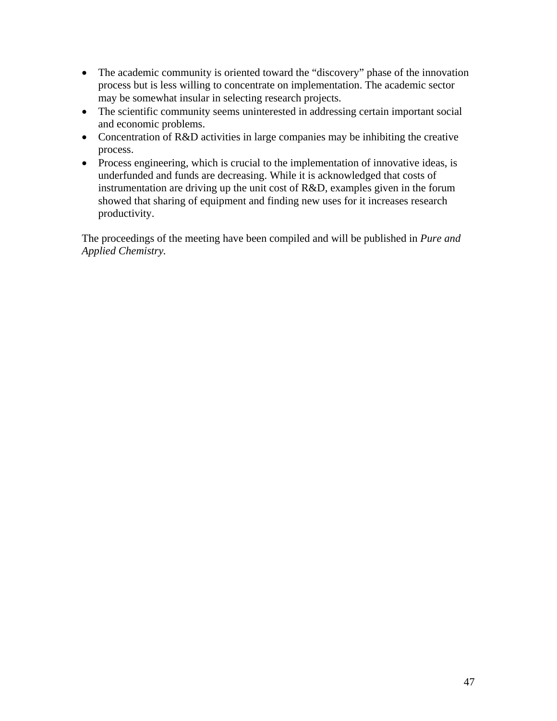- The academic community is oriented toward the "discovery" phase of the innovation process but is less willing to concentrate on implementation. The academic sector may be somewhat insular in selecting research projects.
- The scientific community seems uninterested in addressing certain important social and economic problems.
- Concentration of R&D activities in large companies may be inhibiting the creative process.
- Process engineering, which is crucial to the implementation of innovative ideas, is underfunded and funds are decreasing. While it is acknowledged that costs of instrumentation are driving up the unit cost of R&D, examples given in the forum showed that sharing of equipment and finding new uses for it increases research productivity.

The proceedings of the meeting have been compiled and will be published in *Pure and Applied Chemistry.*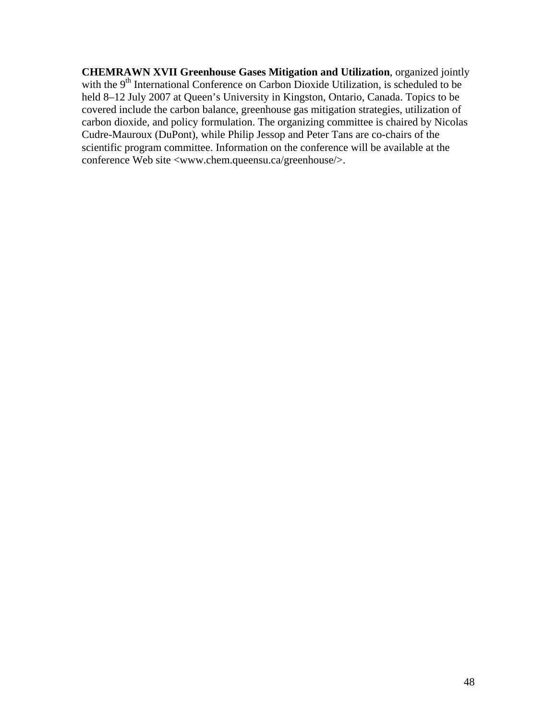**CHEMRAWN XVII Greenhouse Gases Mitigation and Utilization**, organized jointly with the 9<sup>th</sup> International Conference on Carbon Dioxide Utilization, is scheduled to be held 8–12 July 2007 at Queen's University in Kingston, Ontario, Canada. Topics to be covered include the carbon balance, greenhouse gas mitigation strategies, utilization of carbon dioxide, and policy formulation. The organizing committee is chaired by Nicolas Cudre-Mauroux (DuPont), while Philip Jessop and Peter Tans are co-chairs of the scientific program committee. Information on the conference will be available at the conference Web site <www.chem.queensu.ca/greenhouse/>.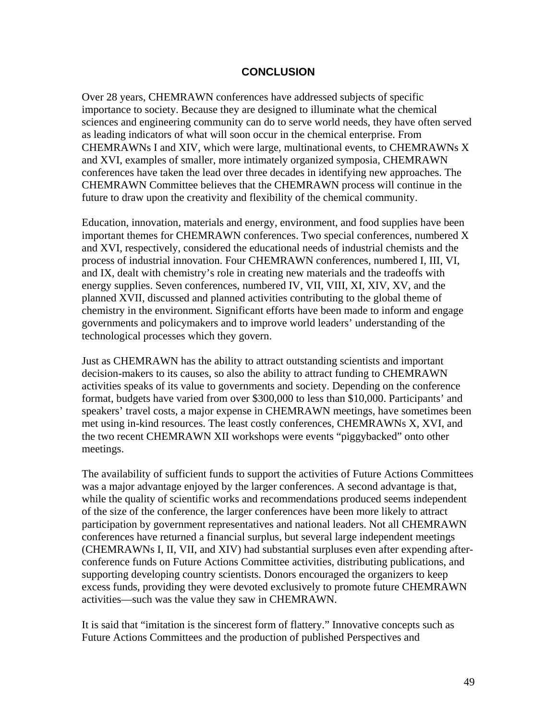#### **CONCLUSION**

Over 28 years, CHEMRAWN conferences have addressed subjects of specific importance to society. Because they are designed to illuminate what the chemical sciences and engineering community can do to serve world needs, they have often served as leading indicators of what will soon occur in the chemical enterprise. From CHEMRAWNs I and XIV, which were large, multinational events, to CHEMRAWNs X and XVI, examples of smaller, more intimately organized symposia, CHEMRAWN conferences have taken the lead over three decades in identifying new approaches. The CHEMRAWN Committee believes that the CHEMRAWN process will continue in the future to draw upon the creativity and flexibility of the chemical community.

Education, innovation, materials and energy, environment, and food supplies have been important themes for CHEMRAWN conferences. Two special conferences, numbered X and XVI, respectively, considered the educational needs of industrial chemists and the process of industrial innovation. Four CHEMRAWN conferences, numbered I, III, VI, and IX, dealt with chemistry's role in creating new materials and the tradeoffs with energy supplies. Seven conferences, numbered IV, VII, VIII, XI, XIV, XV, and the planned XVII, discussed and planned activities contributing to the global theme of chemistry in the environment. Significant efforts have been made to inform and engage governments and policymakers and to improve world leaders' understanding of the technological processes which they govern.

Just as CHEMRAWN has the ability to attract outstanding scientists and important decision-makers to its causes, so also the ability to attract funding to CHEMRAWN activities speaks of its value to governments and society. Depending on the conference format, budgets have varied from over \$300,000 to less than \$10,000. Participants' and speakers' travel costs, a major expense in CHEMRAWN meetings, have sometimes been met using in-kind resources. The least costly conferences, CHEMRAWNs X, XVI, and the two recent CHEMRAWN XII workshops were events "piggybacked" onto other meetings.

The availability of sufficient funds to support the activities of Future Actions Committees was a major advantage enjoyed by the larger conferences. A second advantage is that, while the quality of scientific works and recommendations produced seems independent of the size of the conference, the larger conferences have been more likely to attract participation by government representatives and national leaders. Not all CHEMRAWN conferences have returned a financial surplus, but several large independent meetings (CHEMRAWNs I, II, VII, and XIV) had substantial surpluses even after expending afterconference funds on Future Actions Committee activities, distributing publications, and supporting developing country scientists. Donors encouraged the organizers to keep excess funds, providing they were devoted exclusively to promote future CHEMRAWN activities—such was the value they saw in CHEMRAWN.

It is said that "imitation is the sincerest form of flattery." Innovative concepts such as Future Actions Committees and the production of published Perspectives and